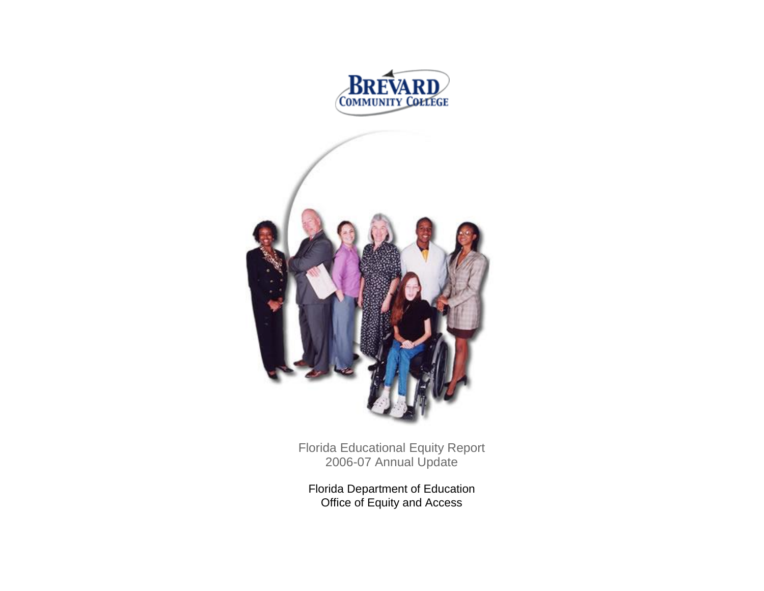



Florida Educational Equity Report 2006-07 Annual Update

Florida Department of Education Office of Equity and Access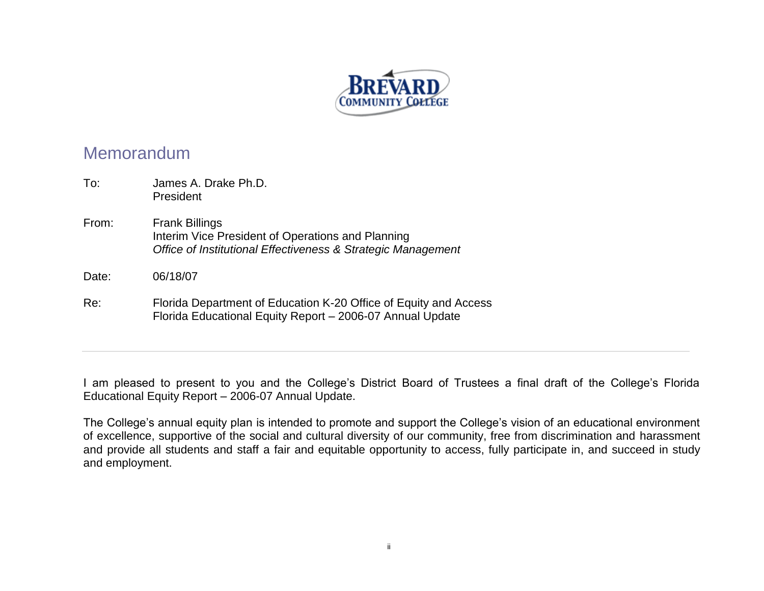

# Memorandum

| To:   | James A. Drake Ph.D.<br>President                                                                                                          |
|-------|--------------------------------------------------------------------------------------------------------------------------------------------|
| From: | <b>Frank Billings</b><br>Interim Vice President of Operations and Planning<br>Office of Institutional Effectiveness & Strategic Management |
| Date: | 06/18/07                                                                                                                                   |
| Re:   | Florida Department of Education K-20 Office of Equity and Access<br>Florida Educational Equity Report - 2006-07 Annual Update              |

I am pleased to present to you and the College's District Board of Trustees a final draft of the College's Florida Educational Equity Report – 2006-07 Annual Update.

The College's annual equity plan is intended to promote and support the College's vision of an educational environment of excellence, supportive of the social and cultural diversity of our community, free from discrimination and harassment and provide all students and staff a fair and equitable opportunity to access, fully participate in, and succeed in study and employment.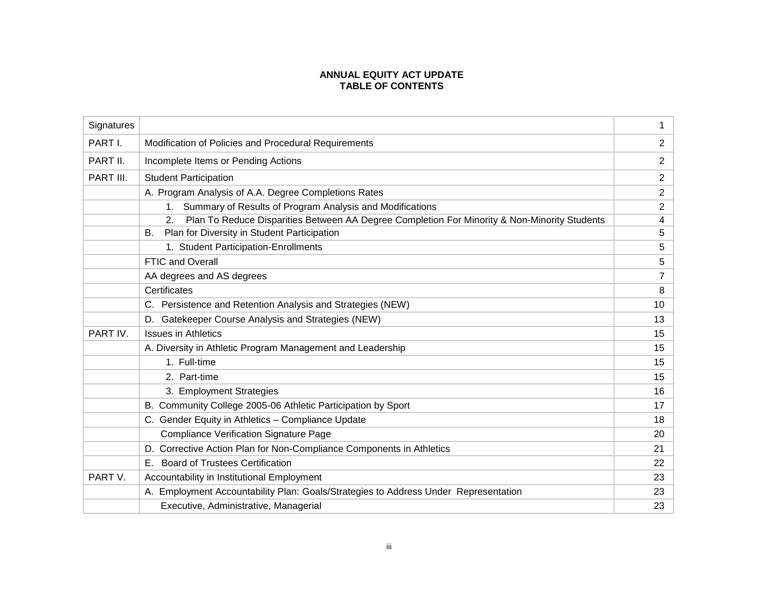## **ANNUAL EQUITY ACT UPDATE TABLE OF CONTENTS**

| Signatures |                                                                                                                | 1              |
|------------|----------------------------------------------------------------------------------------------------------------|----------------|
| PART I.    | Modification of Policies and Procedural Requirements                                                           | $\overline{2}$ |
| PART II.   | Incomplete Items or Pending Actions                                                                            | $\overline{2}$ |
| PART III.  | <b>Student Participation</b>                                                                                   | $\overline{2}$ |
|            | A. Program Analysis of A.A. Degree Completions Rates                                                           | $\overline{2}$ |
|            | Summary of Results of Program Analysis and Modifications<br>$1_{\cdot}$                                        | $\overline{c}$ |
|            | Plan To Reduce Disparities Between AA Degree Completion For Minority & Non-Minority Students<br>2 <sub>1</sub> | $\overline{4}$ |
|            | Plan for Diversity in Student Participation<br>В.                                                              | 5              |
|            | 1. Student Participation-Enrollments                                                                           | 5              |
|            | FTIC and Overall                                                                                               | 5              |
|            | AA degrees and AS degrees                                                                                      | 7              |
|            | Certificates                                                                                                   | 8              |
|            | C. Persistence and Retention Analysis and Strategies (NEW)                                                     | 10             |
|            | D. Gatekeeper Course Analysis and Strategies (NEW)                                                             | 13             |
| PART IV.   | <b>Issues in Athletics</b>                                                                                     | 15             |
|            | A. Diversity in Athletic Program Management and Leadership                                                     | 15             |
|            | 1. Full-time                                                                                                   | 15             |
|            | 2. Part-time                                                                                                   | 15             |
|            | 3. Employment Strategies                                                                                       | 16             |
|            | B. Community College 2005-06 Athletic Participation by Sport                                                   | 17             |
|            | C. Gender Equity in Athletics - Compliance Update                                                              | 18             |
|            | <b>Compliance Verification Signature Page</b>                                                                  | 20             |
|            | D. Corrective Action Plan for Non-Compliance Components in Athletics                                           | 21             |
|            | E. Board of Trustees Certification                                                                             | 22             |
| PART V.    | Accountability in Institutional Employment                                                                     | 23             |
|            | A. Employment Accountability Plan: Goals/Strategies to Address Under Representation                            | 23             |
|            | Executive, Administrative, Managerial                                                                          | 23             |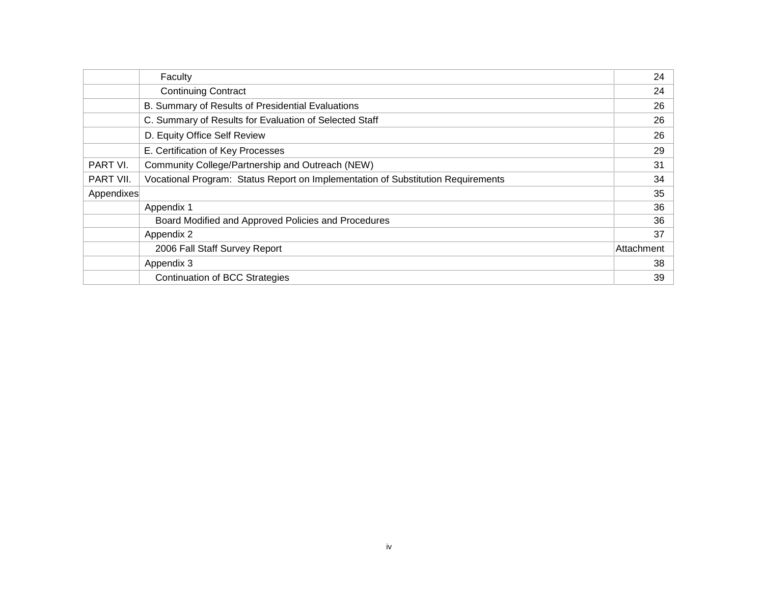|            | Faculty                                                                          | 24         |
|------------|----------------------------------------------------------------------------------|------------|
|            | <b>Continuing Contract</b>                                                       | 24         |
|            | B. Summary of Results of Presidential Evaluations                                | 26         |
|            | C. Summary of Results for Evaluation of Selected Staff                           | 26         |
|            | D. Equity Office Self Review                                                     | 26         |
|            | E. Certification of Key Processes                                                | 29         |
| PART VI.   | Community College/Partnership and Outreach (NEW)                                 | 31         |
| PART VII.  | Vocational Program: Status Report on Implementation of Substitution Requirements | 34         |
| Appendixes |                                                                                  | 35         |
|            | Appendix 1                                                                       | 36         |
|            | Board Modified and Approved Policies and Procedures                              | 36         |
|            | Appendix 2                                                                       | 37         |
|            | 2006 Fall Staff Survey Report                                                    | Attachment |
|            | Appendix 3                                                                       | 38         |
|            | <b>Continuation of BCC Strategies</b>                                            | 39         |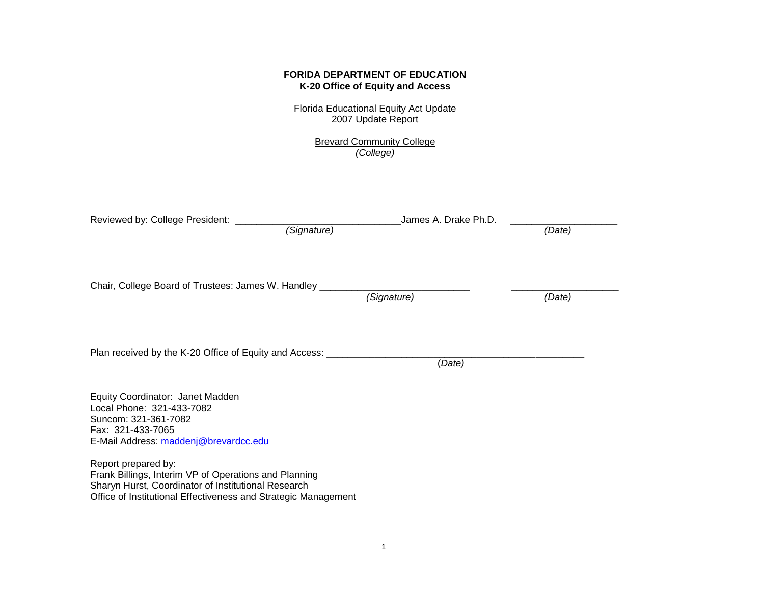## **FORIDA DEPARTMENT OF EDUCATION K-20 Office of Equity and Access**

Florida Educational Equity Act Update 2007 Update Report

> Brevard Community College *(College)*

| Reviewed by: College President: _____                                                                                                                                                                 | James A. Drake Ph.D.<br>(Signature) | (Date) |
|-------------------------------------------------------------------------------------------------------------------------------------------------------------------------------------------------------|-------------------------------------|--------|
| Chair, College Board of Trustees: James W. Handley _                                                                                                                                                  | (Signature)                         | (Date) |
| Plan received by the K-20 Office of Equity and Access: _________                                                                                                                                      | (Date)                              |        |
| Equity Coordinator: Janet Madden<br>Local Phone: 321-433-7082<br>Suncom: 321-361-7082<br>Fax: 321-433-7065<br>E-Mail Address: maddenj@brevardcc.edu                                                   |                                     |        |
| Report prepared by:<br>Frank Billings, Interim VP of Operations and Planning<br>Sharyn Hurst, Coordinator of Institutional Research<br>Office of Institutional Effectiveness and Strategic Management |                                     |        |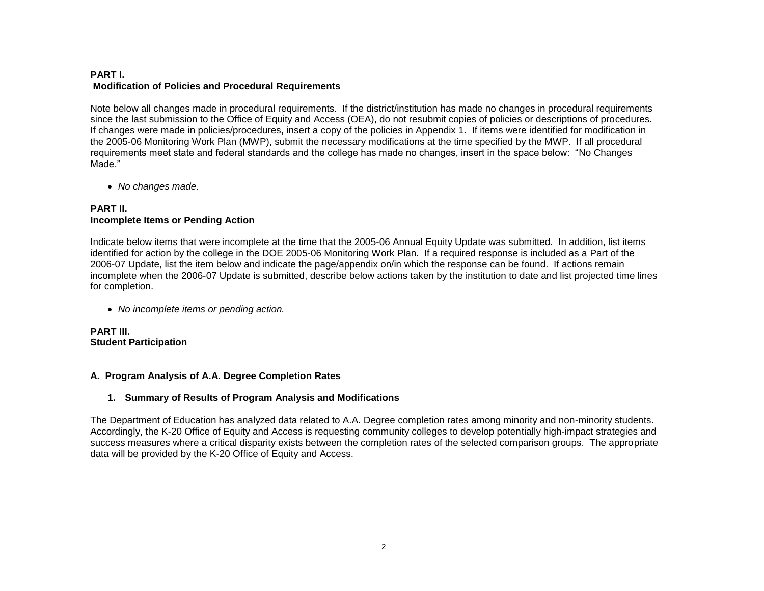## **PART I. Modification of Policies and Procedural Requirements**

Note below all changes made in procedural requirements. If the district/institution has made no changes in procedural requirements since the last submission to the Office of Equity and Access (OEA), do not resubmit copies of policies or descriptions of procedures. If changes were made in policies/procedures, insert a copy of the policies in Appendix 1. If items were identified for modification in the 2005-06 Monitoring Work Plan (MWP), submit the necessary modifications at the time specified by the MWP. If all procedural requirements meet state and federal standards and the college has made no changes, insert in the space below: "No Changes Made."

*No changes made*.

## **PART II. Incomplete Items or Pending Action**

Indicate below items that were incomplete at the time that the 2005-06 Annual Equity Update was submitted. In addition, list items identified for action by the college in the DOE 2005-06 Monitoring Work Plan. If a required response is included as a Part of the 2006-07 Update, list the item below and indicate the page/appendix on/in which the response can be found. If actions remain incomplete when the 2006-07 Update is submitted, describe below actions taken by the institution to date and list projected time lines for completion.

*No incomplete items or pending action.*

**PART III. Student Participation**

## **A. Program Analysis of A.A. Degree Completion Rates**

## **1. Summary of Results of Program Analysis and Modifications**

The Department of Education has analyzed data related to A.A. Degree completion rates among minority and non-minority students. Accordingly, the K-20 Office of Equity and Access is requesting community colleges to develop potentially high-impact strategies and success measures where a critical disparity exists between the completion rates of the selected comparison groups. The appropriate data will be provided by the K-20 Office of Equity and Access.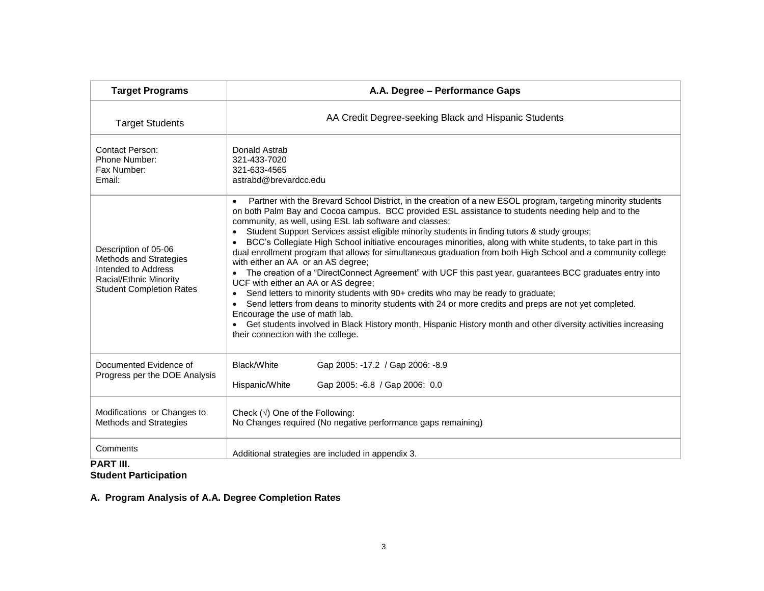| <b>Target Programs</b>                                                                                                             | A.A. Degree - Performance Gaps                                                                                                                                                                                                                                                                                                                                                                                                                                                                                                                                                                                                                                                                                                                                                                                                                                                                                                                                                                                                                                                                                                                                                                                             |  |  |  |  |  |  |  |
|------------------------------------------------------------------------------------------------------------------------------------|----------------------------------------------------------------------------------------------------------------------------------------------------------------------------------------------------------------------------------------------------------------------------------------------------------------------------------------------------------------------------------------------------------------------------------------------------------------------------------------------------------------------------------------------------------------------------------------------------------------------------------------------------------------------------------------------------------------------------------------------------------------------------------------------------------------------------------------------------------------------------------------------------------------------------------------------------------------------------------------------------------------------------------------------------------------------------------------------------------------------------------------------------------------------------------------------------------------------------|--|--|--|--|--|--|--|
| <b>Target Students</b>                                                                                                             | AA Credit Degree-seeking Black and Hispanic Students                                                                                                                                                                                                                                                                                                                                                                                                                                                                                                                                                                                                                                                                                                                                                                                                                                                                                                                                                                                                                                                                                                                                                                       |  |  |  |  |  |  |  |
| <b>Contact Person:</b><br>Phone Number:<br>Fax Number:<br>Email:                                                                   | Donald Astrab<br>321-433-7020<br>321-633-4565<br>astrabd@brevardcc.edu                                                                                                                                                                                                                                                                                                                                                                                                                                                                                                                                                                                                                                                                                                                                                                                                                                                                                                                                                                                                                                                                                                                                                     |  |  |  |  |  |  |  |
| Description of 05-06<br>Methods and Strategies<br>Intended to Address<br>Racial/Ethnic Minority<br><b>Student Completion Rates</b> | Partner with the Brevard School District, in the creation of a new ESOL program, targeting minority students<br>$\bullet$<br>on both Palm Bay and Cocoa campus. BCC provided ESL assistance to students needing help and to the<br>community, as well, using ESL lab software and classes;<br>Student Support Services assist eligible minority students in finding tutors & study groups;<br>BCC's Collegiate High School initiative encourages minorities, along with white students, to take part in this<br>dual enrollment program that allows for simultaneous graduation from both High School and a community college<br>with either an AA or an AS degree;<br>The creation of a "DirectConnect Agreement" with UCF this past year, guarantees BCC graduates entry into<br>UCF with either an AA or AS degree;<br>Send letters to minority students with 90+ credits who may be ready to graduate;<br>$\bullet$<br>Send letters from deans to minority students with 24 or more credits and preps are not yet completed.<br>Encourage the use of math lab.<br>Get students involved in Black History month, Hispanic History month and other diversity activities increasing<br>their connection with the college. |  |  |  |  |  |  |  |
| Documented Evidence of<br>Progress per the DOE Analysis                                                                            | Black/White<br>Gap 2005: -17.2 / Gap 2006: -8.9<br>Hispanic/White<br>Gap 2005: -6.8 / Gap 2006: 0.0                                                                                                                                                                                                                                                                                                                                                                                                                                                                                                                                                                                                                                                                                                                                                                                                                                                                                                                                                                                                                                                                                                                        |  |  |  |  |  |  |  |
| Modifications or Changes to<br>Methods and Strategies                                                                              | Check $(\sqrt{})$ One of the Following:<br>No Changes required (No negative performance gaps remaining)                                                                                                                                                                                                                                                                                                                                                                                                                                                                                                                                                                                                                                                                                                                                                                                                                                                                                                                                                                                                                                                                                                                    |  |  |  |  |  |  |  |
| Comments<br>207.11                                                                                                                 | Additional strategies are included in appendix 3.                                                                                                                                                                                                                                                                                                                                                                                                                                                                                                                                                                                                                                                                                                                                                                                                                                                                                                                                                                                                                                                                                                                                                                          |  |  |  |  |  |  |  |

#### **PART III. Student Participation**

**A. Program Analysis of A.A. Degree Completion Rates**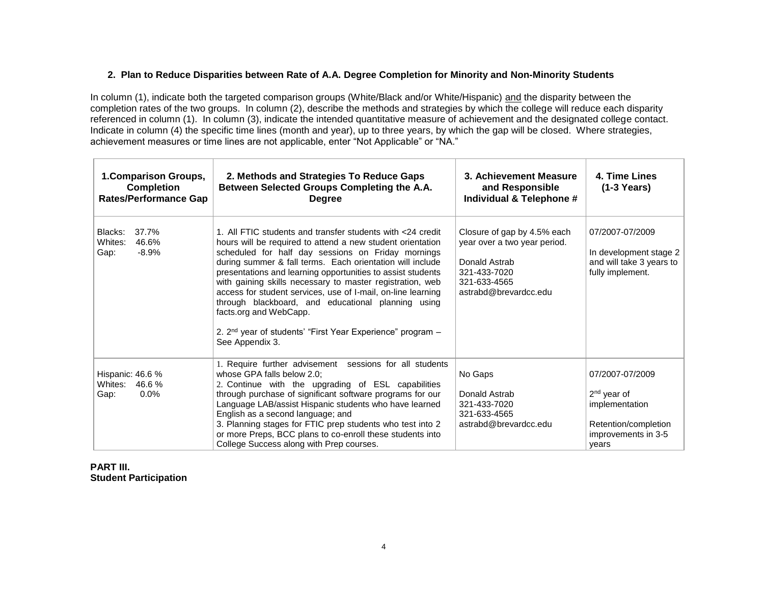## **2. Plan to Reduce Disparities between Rate of A.A. Degree Completion for Minority and Non-Minority Students**

In column (1), indicate both the targeted comparison groups (White/Black and/or White/Hispanic) and the disparity between the completion rates of the two groups. In column (2), describe the methods and strategies by which the college will reduce each disparity referenced in column (1). In column (3), indicate the intended quantitative measure of achievement and the designated college contact. Indicate in column (4) the specific time lines (month and year), up to three years, by which the gap will be closed. Where strategies, achievement measures or time lines are not applicable, enter "Not Applicable" or "NA."

| 1. Comparison Groups,<br><b>Completion</b><br><b>Rates/Performance Gap</b> | 2. Methods and Strategies To Reduce Gaps<br>Between Selected Groups Completing the A.A.<br><b>Degree</b>                                                                                                                                                                                                                                                                                                                                                                                                                                                                                                             | 3. Achievement Measure<br>and Responsible<br>Individual & Telephone #                                                                 | 4. Time Lines<br>$(1-3$ Years)                                                                             |
|----------------------------------------------------------------------------|----------------------------------------------------------------------------------------------------------------------------------------------------------------------------------------------------------------------------------------------------------------------------------------------------------------------------------------------------------------------------------------------------------------------------------------------------------------------------------------------------------------------------------------------------------------------------------------------------------------------|---------------------------------------------------------------------------------------------------------------------------------------|------------------------------------------------------------------------------------------------------------|
| Blacks:<br>37.7%<br>Whites:<br>46.6%<br>$-8.9%$<br>Gap:                    | 1. All FTIC students and transfer students with <24 credit<br>hours will be required to attend a new student orientation<br>scheduled for half day sessions on Friday mornings<br>during summer & fall terms. Each orientation will include<br>presentations and learning opportunities to assist students<br>with gaining skills necessary to master registration, web<br>access for student services, use of I-mail, on-line learning<br>through blackboard, and educational planning using<br>facts.org and WebCapp.<br>2. 2 <sup>nd</sup> year of students' "First Year Experience" program -<br>See Appendix 3. | Closure of gap by 4.5% each<br>year over a two year period.<br>Donald Astrab<br>321-433-7020<br>321-633-4565<br>astrabd@brevardcc.edu | 07/2007-07/2009<br>In development stage 2<br>and will take 3 years to<br>fully implement.                  |
| Hispanic: 46.6 %<br>Whites:<br>46.6%<br>$0.0\%$<br>Gap:                    | 1. Require further advisement sessions for all students<br>whose GPA falls below 2.0:<br>2. Continue with the upgrading of ESL capabilities<br>through purchase of significant software programs for our<br>Language LAB/assist Hispanic students who have learned<br>English as a second language; and<br>3. Planning stages for FTIC prep students who test into 2<br>or more Preps, BCC plans to co-enroll these students into<br>College Success along with Prep courses.                                                                                                                                        | No Gaps<br>Donald Astrab<br>321-433-7020<br>321-633-4565<br>astrabd@brevardcc.edu                                                     | 07/2007-07/2009<br>$2nd$ year of<br>implementation<br>Retention/completion<br>improvements in 3-5<br>years |

## **PART III. Student Participation**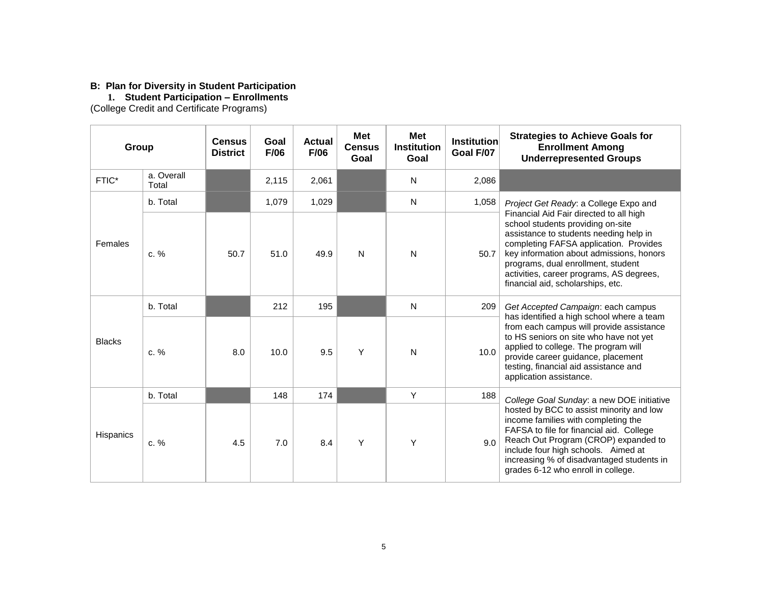#### **B: Plan for Diversity in Student Participation**

**1. Student Participation – Enrollments**

(College Credit and Certificate Programs)

| Group            |                     | <b>Census</b><br><b>District</b> | Goal<br>F/06 | <b>Actual</b><br>F/06 | <b>Met</b><br><b>Census</b><br>Goal                                                                                                                                                                                                                                               | <b>Met</b><br><b>Institution</b><br>Goal | <b>Institution</b><br>Goal F/07 | <b>Strategies to Achieve Goals for</b><br><b>Enrollment Among</b><br><b>Underrepresented Groups</b>                                                                                                                                                                                                                                 |
|------------------|---------------------|----------------------------------|--------------|-----------------------|-----------------------------------------------------------------------------------------------------------------------------------------------------------------------------------------------------------------------------------------------------------------------------------|------------------------------------------|---------------------------------|-------------------------------------------------------------------------------------------------------------------------------------------------------------------------------------------------------------------------------------------------------------------------------------------------------------------------------------|
| FTIC*            | a. Overall<br>Total |                                  | 2,115        | 2,061                 |                                                                                                                                                                                                                                                                                   | N                                        | 2,086                           |                                                                                                                                                                                                                                                                                                                                     |
|                  | b. Total            |                                  | 1,079        | 1,029                 |                                                                                                                                                                                                                                                                                   | N                                        | 1,058                           | Project Get Ready: a College Expo and                                                                                                                                                                                                                                                                                               |
| Females          | $c. \%$             | 50.7                             | 51.0         | 49.9                  | N                                                                                                                                                                                                                                                                                 | N                                        | 50.7                            | Financial Aid Fair directed to all high<br>school students providing on-site<br>assistance to students needing help in<br>completing FAFSA application. Provides<br>key information about admissions, honors<br>programs, dual enrollment, student<br>activities, career programs, AS degrees,<br>financial aid, scholarships, etc. |
|                  | b. Total            |                                  | 212          | 195                   |                                                                                                                                                                                                                                                                                   | N                                        | 209                             | Get Accepted Campaign: each campus                                                                                                                                                                                                                                                                                                  |
| <b>Blacks</b>    | c. %                | 9.5<br>Y<br>8.0<br>10.0          | N            | 10.0                  | has identified a high school where a team<br>from each campus will provide assistance<br>to HS seniors on site who have not yet<br>applied to college. The program will<br>provide career guidance, placement<br>testing, financial aid assistance and<br>application assistance. |                                          |                                 |                                                                                                                                                                                                                                                                                                                                     |
|                  | b. Total            |                                  | 148          | 174                   |                                                                                                                                                                                                                                                                                   | Y                                        | 188                             | College Goal Sunday: a new DOE initiative                                                                                                                                                                                                                                                                                           |
| <b>Hispanics</b> | $c. \%$             | 4.5                              | 7.0          | 8.4                   | Υ                                                                                                                                                                                                                                                                                 | Υ                                        | 9.0                             | hosted by BCC to assist minority and low<br>income families with completing the<br>FAFSA to file for financial aid. College<br>Reach Out Program (CROP) expanded to<br>include four high schools. Aimed at<br>increasing % of disadvantaged students in<br>grades 6-12 who enroll in college.                                       |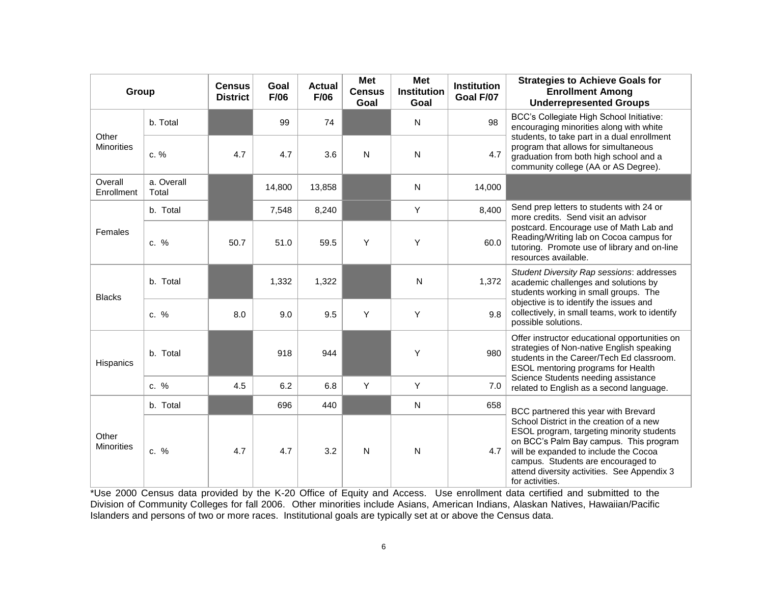| Group                      |                     | <b>Census</b><br><b>District</b> | Goal<br>F/06 | <b>Actual</b><br>F/06 | <b>Met</b><br><b>Census</b><br>Goal | <b>Met</b><br><b>Institution</b><br>Goal | <b>Institution</b><br>Goal F/07 | <b>Strategies to Achieve Goals for</b><br><b>Enrollment Among</b><br><b>Underrepresented Groups</b>                                                                                                                                                                              |  |
|----------------------------|---------------------|----------------------------------|--------------|-----------------------|-------------------------------------|------------------------------------------|---------------------------------|----------------------------------------------------------------------------------------------------------------------------------------------------------------------------------------------------------------------------------------------------------------------------------|--|
|                            | b. Total            |                                  | 99           | 74                    |                                     | N                                        | 98                              | BCC's Collegiate High School Initiative:<br>encouraging minorities along with white                                                                                                                                                                                              |  |
| Other<br><b>Minorities</b> | c. %                | 4.7                              | 4.7          | 3.6                   | N                                   | N                                        | 4.7                             | students, to take part in a dual enrollment<br>program that allows for simultaneous<br>graduation from both high school and a<br>community college (AA or AS Degree).                                                                                                            |  |
| Overall<br>Enrollment      | a. Overall<br>Total |                                  | 14,800       | 13,858                |                                     | N                                        | 14,000                          |                                                                                                                                                                                                                                                                                  |  |
|                            | b. Total            |                                  | 7,548        | 8,240                 |                                     | Y                                        | 8,400                           | Send prep letters to students with 24 or<br>more credits. Send visit an advisor                                                                                                                                                                                                  |  |
| Females<br>c. %            |                     | 50.7                             | 51.0         | 59.5                  | Y                                   | Y                                        | 60.0                            | postcard. Encourage use of Math Lab and<br>Reading/Writing lab on Cocoa campus for<br>tutoring. Promote use of library and on-line<br>resources available.                                                                                                                       |  |
| <b>Blacks</b>              | b. Total            |                                  | 1,332        | 1,322                 |                                     | $\mathsf{N}$                             | 1,372                           | Student Diversity Rap sessions: addresses<br>academic challenges and solutions by<br>students working in small groups. The                                                                                                                                                       |  |
|                            | c. %                | 8.0                              | 9.0          | 9.5                   | Υ                                   | Y                                        | 9.8                             | objective is to identify the issues and<br>collectively, in small teams, work to identify<br>possible solutions.                                                                                                                                                                 |  |
| Hispanics                  | b. Total            |                                  | 918          | 944                   |                                     | Y                                        | 980                             | Offer instructor educational opportunities on<br>strategies of Non-native English speaking<br>students in the Career/Tech Ed classroom.<br>ESOL mentoring programs for Health                                                                                                    |  |
|                            | c. %                | 4.5                              | 6.2          | 6.8                   | Υ                                   | Y                                        | 7.0                             | Science Students needing assistance<br>related to English as a second language.                                                                                                                                                                                                  |  |
|                            | b. Total            |                                  | 696          | 440                   |                                     | N                                        | 658                             | BCC partnered this year with Brevard                                                                                                                                                                                                                                             |  |
| Other<br><b>Minorities</b> | c. %                | 4.7                              | 4.7          | 3.2                   | N                                   | N                                        | 4.7                             | School District in the creation of a new<br>ESOL program, targeting minority students<br>on BCC's Palm Bay campus. This program<br>will be expanded to include the Cocoa<br>campus. Students are encouraged to<br>attend diversity activities. See Appendix 3<br>for activities. |  |

\*Use 2000 Census data provided by the K-20 Office of Equity and Access. Use enrollment data certified and submitted to the Division of Community Colleges for fall 2006. Other minorities include Asians, American Indians, Alaskan Natives, Hawaiian/Pacific Islanders and persons of two or more races. Institutional goals are typically set at or above the Census data.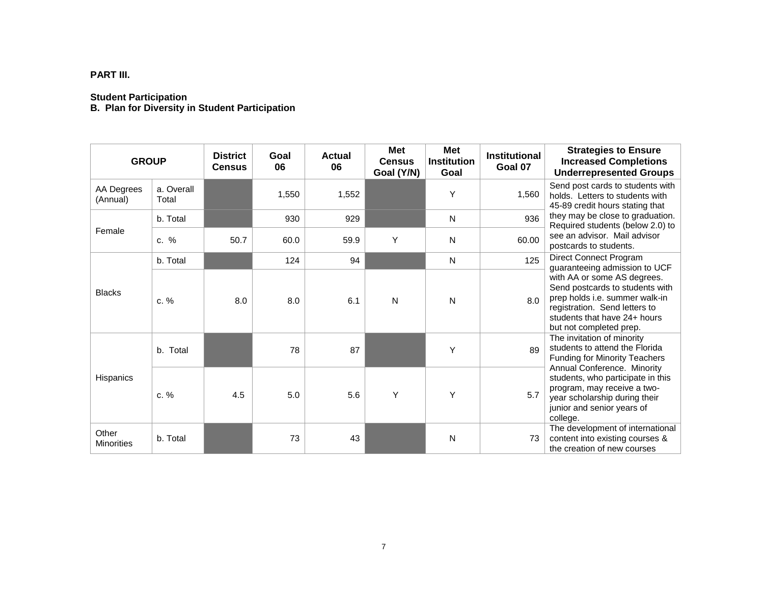# **PART III.**

#### **Student Participation**

**B. Plan for Diversity in Student Participation**

| <b>GROUP</b>               |                     | <b>District</b><br><b>Census</b> | Goal<br>06 | <b>Actual</b><br>06 | <b>Met</b><br><b>Census</b><br>Goal (Y/N) | <b>Met</b><br><b>Institution</b><br>Goal | <b>Institutional</b><br>Goal 07 | <b>Strategies to Ensure</b><br><b>Increased Completions</b><br><b>Underrepresented Groups</b>                                                                                                |
|----------------------------|---------------------|----------------------------------|------------|---------------------|-------------------------------------------|------------------------------------------|---------------------------------|----------------------------------------------------------------------------------------------------------------------------------------------------------------------------------------------|
| AA Degrees<br>(Annual)     | a. Overall<br>Total |                                  | 1,550      | 1,552               |                                           | Y                                        | 1,560                           | Send post cards to students with<br>holds. Letters to students with<br>45-89 credit hours stating that                                                                                       |
|                            | b. Total            |                                  | 930        | 929                 |                                           | N                                        | 936                             | they may be close to graduation.<br>Required students (below 2.0) to                                                                                                                         |
| Female                     | $c. \%$             | 50.7                             | 60.0       | 59.9                | Y                                         | N                                        | 60.00                           | see an advisor. Mail advisor<br>postcards to students.                                                                                                                                       |
|                            | b. Total            |                                  | 124        | 94                  |                                           | N                                        | 125                             | Direct Connect Program<br>guaranteeing admission to UCF                                                                                                                                      |
| <b>Blacks</b><br>$c. \%$   |                     | 8.0                              | 8.0        | 6.1                 | N                                         | N                                        | 8.0                             | with AA or some AS degrees.<br>Send postcards to students with<br>prep holds i.e. summer walk-in<br>registration. Send letters to<br>students that have 24+ hours<br>but not completed prep. |
|                            | b. Total            |                                  | 78         | 87                  |                                           | Y                                        | 89                              | The invitation of minority<br>students to attend the Florida<br><b>Funding for Minority Teachers</b>                                                                                         |
| Hispanics                  | $c. \%$             | 4.5                              | 5.0        | 5.6                 | Y                                         | Y                                        | 5.7                             | Annual Conference. Minority<br>students, who participate in this<br>program, may receive a two-<br>year scholarship during their<br>junior and senior years of<br>college.                   |
| Other<br><b>Minorities</b> | b. Total            |                                  | 73         | 43                  |                                           | N                                        | 73                              | The development of international<br>content into existing courses &<br>the creation of new courses                                                                                           |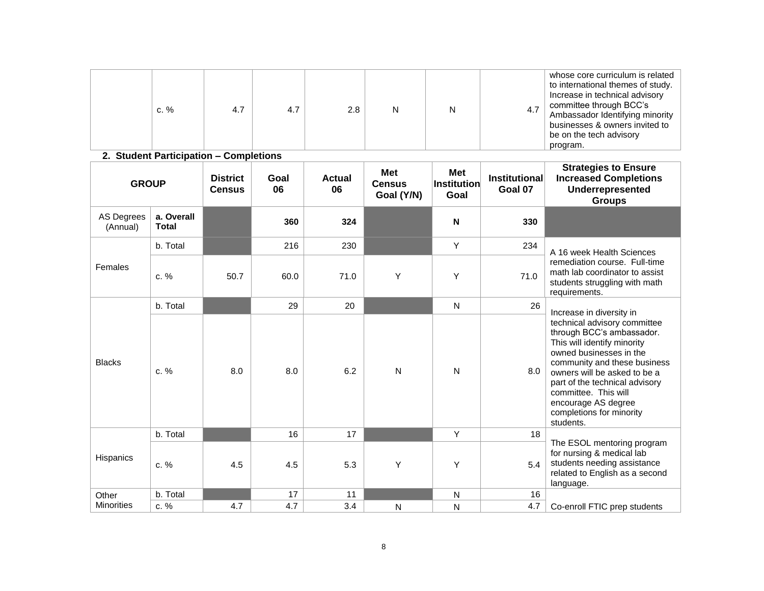|  | c. $%$ | 4.7 | 4.7 | 2.8 |  |  | 4.7 | whose core curriculum is related<br>to international themes of study.<br>Increase in technical advisory<br>committee through BCC's<br>Ambassador Identifying minority<br>businesses & owners invited to<br>be on the tech advisory<br>program. |
|--|--------|-----|-----|-----|--|--|-----|------------------------------------------------------------------------------------------------------------------------------------------------------------------------------------------------------------------------------------------------|
|--|--------|-----|-----|-----|--|--|-----|------------------------------------------------------------------------------------------------------------------------------------------------------------------------------------------------------------------------------------------------|

## **2. Student Participation – Completions**

| <b>GROUP</b>                  |                            | <b>District</b><br><b>Census</b> | Goal<br>06 | <b>Actual</b><br>06 | <b>Met</b><br><b>Census</b><br>Goal (Y/N) | <b>Met</b><br>$\sf{Institution}$<br>Goal | <b>Institutional</b><br>Goal 07 | <b>Strategies to Ensure</b><br><b>Increased Completions</b><br>Underrepresented<br><b>Groups</b>                                                                                                                                                                                                              |
|-------------------------------|----------------------------|----------------------------------|------------|---------------------|-------------------------------------------|------------------------------------------|---------------------------------|---------------------------------------------------------------------------------------------------------------------------------------------------------------------------------------------------------------------------------------------------------------------------------------------------------------|
| <b>AS Degrees</b><br>(Annual) | a. Overall<br><b>Total</b> |                                  | 360        | 324                 |                                           | N                                        | 330                             |                                                                                                                                                                                                                                                                                                               |
|                               | b. Total                   |                                  | 216        | 230                 |                                           | Υ                                        | 234                             | A 16 week Health Sciences                                                                                                                                                                                                                                                                                     |
| Females                       | $c. \%$                    | 50.7                             | 60.0       | 71.0                | Y                                         | Y                                        | 71.0                            | remediation course. Full-time<br>math lab coordinator to assist<br>students struggling with math<br>requirements.                                                                                                                                                                                             |
|                               | b. Total                   |                                  | 29         | 20                  |                                           | N                                        | 26                              | Increase in diversity in                                                                                                                                                                                                                                                                                      |
| <b>Blacks</b>                 | c. %                       | 8.0                              | 8.0        | 6.2                 | $\mathsf{N}$                              | N                                        | 8.0                             | technical advisory committee<br>through BCC's ambassador.<br>This will identify minority<br>owned businesses in the<br>community and these business<br>owners will be asked to be a<br>part of the technical advisory<br>committee. This will<br>encourage AS degree<br>completions for minority<br>students. |
|                               | b. Total                   |                                  | 16         | 17                  |                                           | Y                                        | 18                              |                                                                                                                                                                                                                                                                                                               |
| Hispanics                     | c. %                       | 4.5                              | 4.5        | 5.3                 | Y                                         | Y                                        | 5.4                             | The ESOL mentoring program<br>for nursing & medical lab<br>students needing assistance<br>related to English as a second<br>language.                                                                                                                                                                         |
| Other                         | b. Total                   |                                  | 17         | 11                  |                                           | $\mathsf{N}$                             | 16                              |                                                                                                                                                                                                                                                                                                               |
| <b>Minorities</b>             | $c. \%$                    | 4.7                              | 4.7        | 3.4                 | N                                         | N                                        | 4.7                             | Co-enroll FTIC prep students                                                                                                                                                                                                                                                                                  |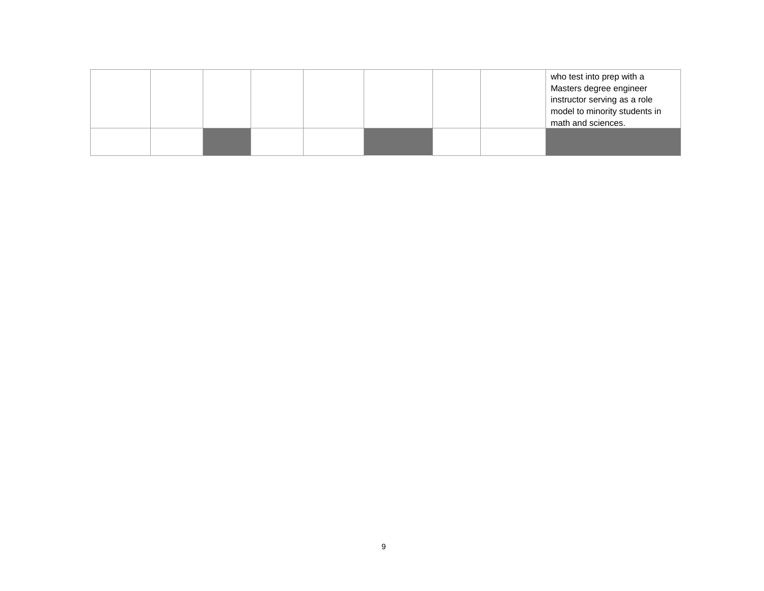|  |  |  |  | who test into prep with a     |
|--|--|--|--|-------------------------------|
|  |  |  |  | Masters degree engineer       |
|  |  |  |  | instructor serving as a role  |
|  |  |  |  | model to minority students in |
|  |  |  |  | math and sciences.            |
|  |  |  |  |                               |
|  |  |  |  |                               |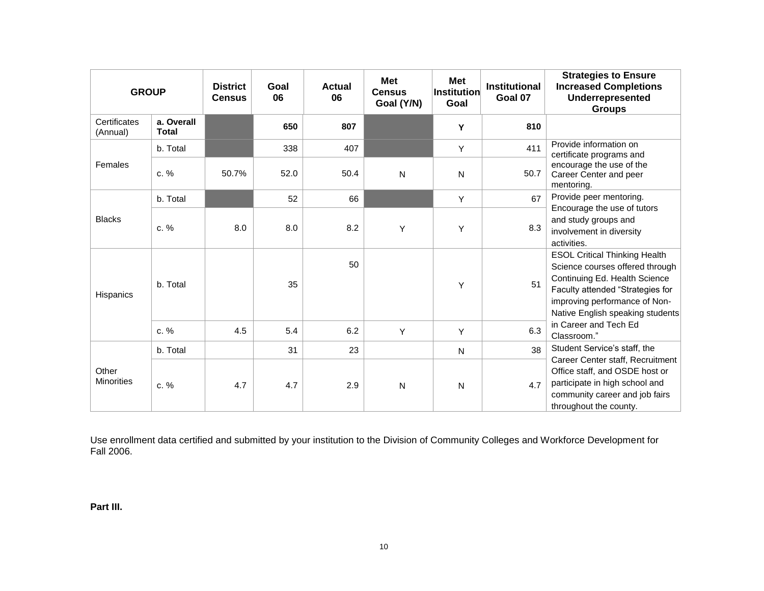| <b>GROUP</b>               |                            | <b>District</b><br><b>Census</b> | Goal<br>06 | <b>Actual</b><br>06 | <b>Met</b><br><b>Census</b><br>Goal (Y/N) | Met<br><b>Institution</b><br>Goal | <b>Institutional</b><br>Goal 07 | <b>Strategies to Ensure</b><br><b>Increased Completions</b><br>Underrepresented<br><b>Groups</b>                                                                                                                  |
|----------------------------|----------------------------|----------------------------------|------------|---------------------|-------------------------------------------|-----------------------------------|---------------------------------|-------------------------------------------------------------------------------------------------------------------------------------------------------------------------------------------------------------------|
| Certificates<br>(Annual)   | a. Overall<br><b>Total</b> |                                  | 650        | 807                 |                                           | Y                                 | 810                             |                                                                                                                                                                                                                   |
|                            | b. Total                   |                                  | 338        | 407                 |                                           | Y                                 | 411                             | Provide information on<br>certificate programs and                                                                                                                                                                |
| Females                    | c. %                       | 50.7%                            | 52.0       | 50.4                | N                                         | N                                 | 50.7                            | encourage the use of the<br>Career Center and peer<br>mentoring.                                                                                                                                                  |
|                            | b. Total                   |                                  | 52         | 66                  |                                           | Y                                 | 67                              | Provide peer mentoring.                                                                                                                                                                                           |
| <b>Blacks</b>              | c. %                       | 8.0                              | 8.0        | 8.2                 | Y                                         | Y                                 | 8.3                             | Encourage the use of tutors<br>and study groups and<br>involvement in diversity<br>activities.                                                                                                                    |
| <b>Hispanics</b>           | b. Total                   |                                  | 35         | 50                  |                                           | Y                                 | 51                              | <b>ESOL Critical Thinking Health</b><br>Science courses offered through<br>Continuing Ed. Health Science<br>Faculty attended "Strategies for<br>improving performance of Non-<br>Native English speaking students |
|                            | c. %                       | 4.5                              | 5.4        | 6.2                 | Y                                         | Y                                 | 6.3                             | in Career and Tech Ed<br>Classroom."                                                                                                                                                                              |
|                            | b. Total                   |                                  | 31         | 23                  |                                           | N                                 | 38                              | Student Service's staff, the                                                                                                                                                                                      |
| Other<br><b>Minorities</b> | c. %                       | 4.7                              | 4.7        | 2.9                 | N                                         | N                                 | 4.7                             | Career Center staff, Recruitment<br>Office staff, and OSDE host or<br>participate in high school and<br>community career and job fairs<br>throughout the county.                                                  |

Use enrollment data certified and submitted by your institution to the Division of Community Colleges and Workforce Development for Fall 2006.

**Part III.**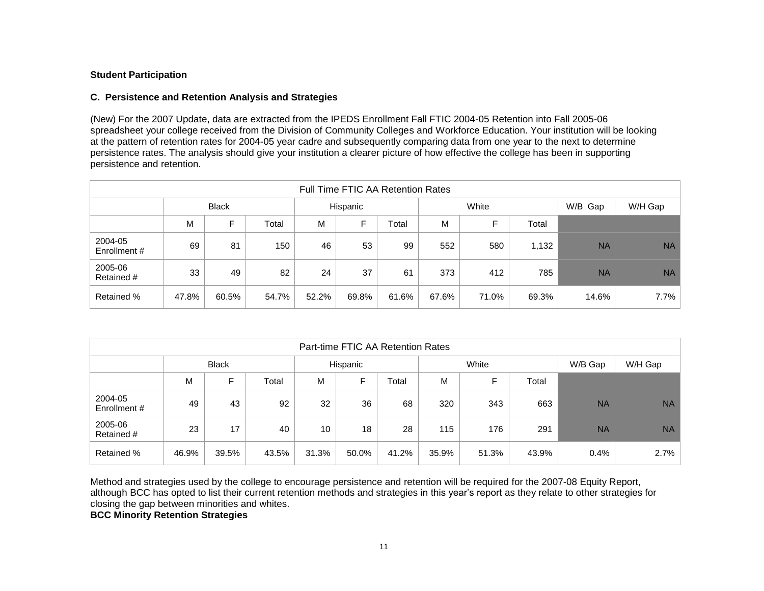#### **Student Participation**

#### **C. Persistence and Retention Analysis and Strategies**

(New) For the 2007 Update, data are extracted from the IPEDS Enrollment Fall FTIC 2004-05 Retention into Fall 2005-06 spreadsheet your college received from the Division of Community Colleges and Workforce Education. Your institution will be looking at the pattern of retention rates for 2004-05 year cadre and subsequently comparing data from one year to the next to determine persistence rates. The analysis should give your institution a clearer picture of how effective the college has been in supporting persistence and retention.

| <b>Full Time FTIC AA Retention Rates</b> |       |              |       |          |       |       |       |       |       |           |           |
|------------------------------------------|-------|--------------|-------|----------|-------|-------|-------|-------|-------|-----------|-----------|
|                                          |       | <b>Black</b> |       | Hispanic |       |       | White |       |       | W/B Gap   | W/H Gap   |
|                                          | M     | F            | Total | M        | F     | Total | м     | F     | Total |           |           |
| 2004-05<br>Enrollment #                  | 69    | 81           | 150   | 46       | 53    | 99    | 552   | 580   | 1,132 | <b>NA</b> | <b>NA</b> |
| 2005-06<br>Retained #                    | 33    | 49           | 82    | 24       | 37    | 61    | 373   | 412   | 785   | <b>NA</b> | <b>NA</b> |
| <b>Retained %</b>                        | 47.8% | 60.5%        | 54.7% | 52.2%    | 69.8% | 61.6% | 67.6% | 71.0% | 69.3% | 14.6%     | 7.7%      |

| Part-time FTIC AA Retention Rates |                                                  |              |       |          |       |       |       |       |       |           |           |
|-----------------------------------|--------------------------------------------------|--------------|-------|----------|-------|-------|-------|-------|-------|-----------|-----------|
|                                   |                                                  | <b>Black</b> |       | Hispanic |       |       | White |       |       | W/B Gap   | W/H Gap   |
|                                   | E<br>F<br>M<br>Total<br>M<br>M<br>Total<br>Total |              |       |          |       |       |       |       |       |           |           |
| 2004-05<br>Enrollment#            | 49                                               | 43           | 92    | 32       | 36    | 68    | 320   | 343   | 663   | <b>NA</b> | <b>NA</b> |
| 2005-06<br>Retained #             | 23                                               | 17           | 40    | 10       | 18    | 28    | 115   | 176   | 291   | <b>NA</b> | <b>NA</b> |
| <b>Retained %</b>                 | 46.9%                                            | 39.5%        | 43.5% | 31.3%    | 50.0% | 41.2% | 35.9% | 51.3% | 43.9% | 0.4%      | 2.7%      |

Method and strategies used by the college to encourage persistence and retention will be required for the 2007-08 Equity Report, although BCC has opted to list their current retention methods and strategies in this year's report as they relate to other strategies for closing the gap between minorities and whites.

**BCC Minority Retention Strategies**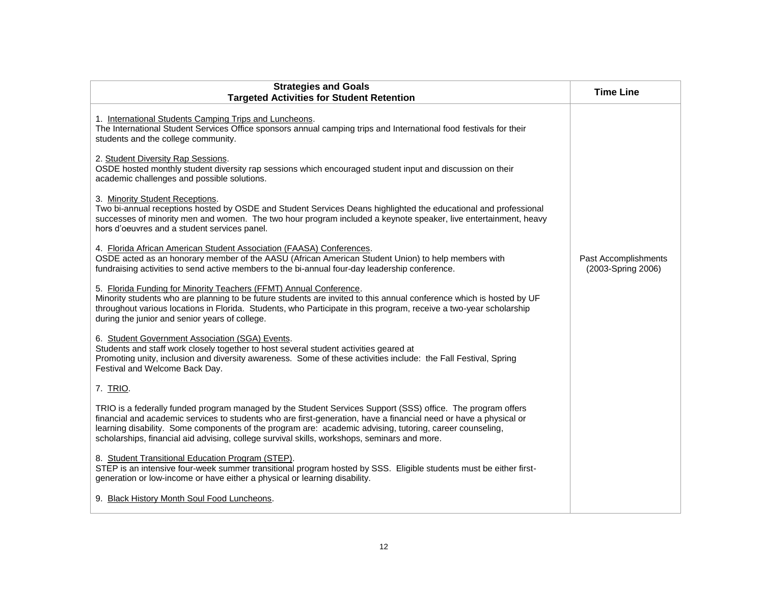| <b>Strategies and Goals</b><br><b>Targeted Activities for Student Retention</b>                                                                                                                                                                                                                                                                                                                                                              | <b>Time Line</b>                           |
|----------------------------------------------------------------------------------------------------------------------------------------------------------------------------------------------------------------------------------------------------------------------------------------------------------------------------------------------------------------------------------------------------------------------------------------------|--------------------------------------------|
| 1. International Students Camping Trips and Luncheons.<br>The International Student Services Office sponsors annual camping trips and International food festivals for their<br>students and the college community.                                                                                                                                                                                                                          |                                            |
| 2. Student Diversity Rap Sessions.<br>OSDE hosted monthly student diversity rap sessions which encouraged student input and discussion on their<br>academic challenges and possible solutions.                                                                                                                                                                                                                                               |                                            |
| 3. Minority Student Receptions.<br>Two bi-annual receptions hosted by OSDE and Student Services Deans highlighted the educational and professional<br>successes of minority men and women. The two hour program included a keynote speaker, live entertainment, heavy<br>hors d'oeuvres and a student services panel.                                                                                                                        |                                            |
| 4. Florida African American Student Association (FAASA) Conferences.<br>OSDE acted as an honorary member of the AASU (African American Student Union) to help members with<br>fundraising activities to send active members to the bi-annual four-day leadership conference.                                                                                                                                                                 | Past Accomplishments<br>(2003-Spring 2006) |
| 5. Florida Funding for Minority Teachers (FFMT) Annual Conference.<br>Minority students who are planning to be future students are invited to this annual conference which is hosted by UF<br>throughout various locations in Florida. Students, who Participate in this program, receive a two-year scholarship<br>during the junior and senior years of college.                                                                           |                                            |
| 6. Student Government Association (SGA) Events.<br>Students and staff work closely together to host several student activities geared at<br>Promoting unity, inclusion and diversity awareness. Some of these activities include: the Fall Festival, Spring<br>Festival and Welcome Back Day.                                                                                                                                                |                                            |
| 7. TRIO.                                                                                                                                                                                                                                                                                                                                                                                                                                     |                                            |
| TRIO is a federally funded program managed by the Student Services Support (SSS) office. The program offers<br>financial and academic services to students who are first-generation, have a financial need or have a physical or<br>learning disability. Some components of the program are: academic advising, tutoring, career counseling,<br>scholarships, financial aid advising, college survival skills, workshops, seminars and more. |                                            |
| 8. Student Transitional Education Program (STEP).<br>STEP is an intensive four-week summer transitional program hosted by SSS. Eligible students must be either first-<br>generation or low-income or have either a physical or learning disability.                                                                                                                                                                                         |                                            |
| 9. Black History Month Soul Food Luncheons.                                                                                                                                                                                                                                                                                                                                                                                                  |                                            |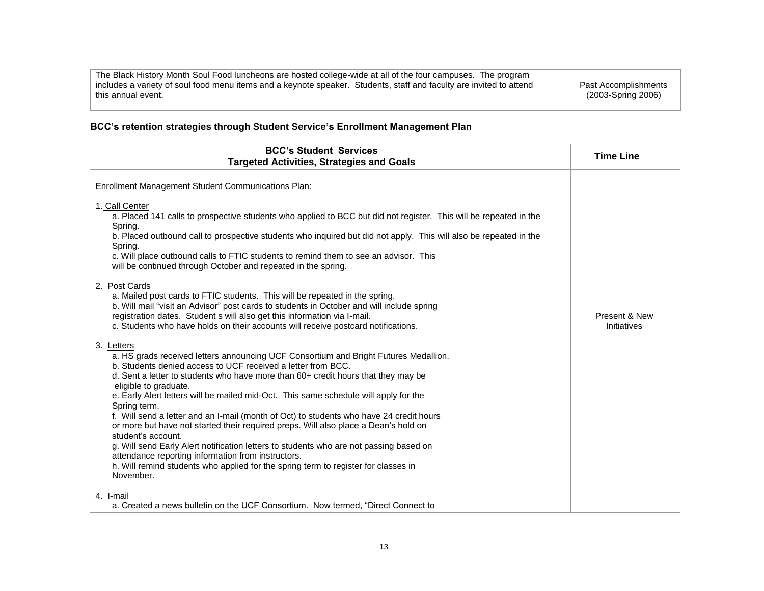| The Black History Month Soul Food luncheons are hosted college-wide at all of the four campuses. The program                              |                                            |
|-------------------------------------------------------------------------------------------------------------------------------------------|--------------------------------------------|
| includes a variety of soul food menu items and a keynote speaker. Students, staff and faculty are invited to attend<br>this annual event. | Past Accomplishments<br>(2003-Spring 2006) |
|                                                                                                                                           |                                            |

# **BCC's retention strategies through Student Service's Enrollment Management Plan**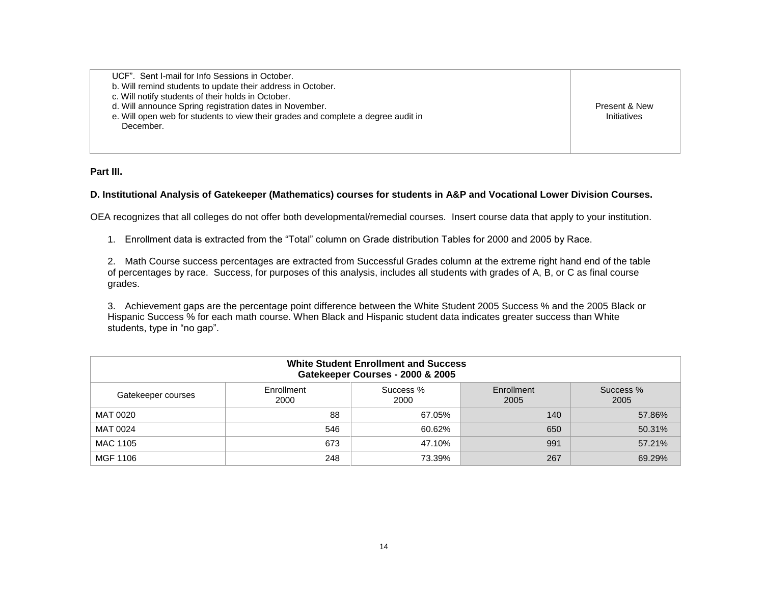UCF". Sent I-mail for Info Sessions in October. b. Will remind students to update their address in October. c. Will notify students of their holds in October. d. Will announce Spring registration dates in November. e. Will open web for students to view their grades and complete a degree audit in December.

Present & New **Initiatives** 

**Part III.**

#### **D. Institutional Analysis of Gatekeeper (Mathematics) courses for students in A&P and Vocational Lower Division Courses.**

OEA recognizes that all colleges do not offer both developmental/remedial courses. Insert course data that apply to your institution.

1. Enrollment data is extracted from the "Total" column on Grade distribution Tables for 2000 and 2005 by Race.

2. Math Course success percentages are extracted from Successful Grades column at the extreme right hand end of the table of percentages by race. Success, for purposes of this analysis, includes all students with grades of A, B, or C as final course grades.

3. Achievement gaps are the percentage point difference between the White Student 2005 Success % and the 2005 Black or Hispanic Success % for each math course. When Black and Hispanic student data indicates greater success than White students, type in "no gap".

| <b>White Student Enrollment and Success</b><br>Gatekeeper Courses - 2000 & 2005                          |     |        |     |        |  |  |  |  |  |
|----------------------------------------------------------------------------------------------------------|-----|--------|-----|--------|--|--|--|--|--|
| Success %<br>Enrollment<br>Success %<br>Enrollment<br>Gatekeeper courses<br>2005<br>2000<br>2000<br>2005 |     |        |     |        |  |  |  |  |  |
| MAT 0020                                                                                                 | 88  | 67.05% | 140 | 57.86% |  |  |  |  |  |
| MAT 0024                                                                                                 | 546 | 60.62% | 650 | 50.31% |  |  |  |  |  |
| MAC 1105                                                                                                 | 673 | 47.10% | 991 | 57.21% |  |  |  |  |  |
| MGF 1106                                                                                                 | 248 | 73.39% | 267 | 69.29% |  |  |  |  |  |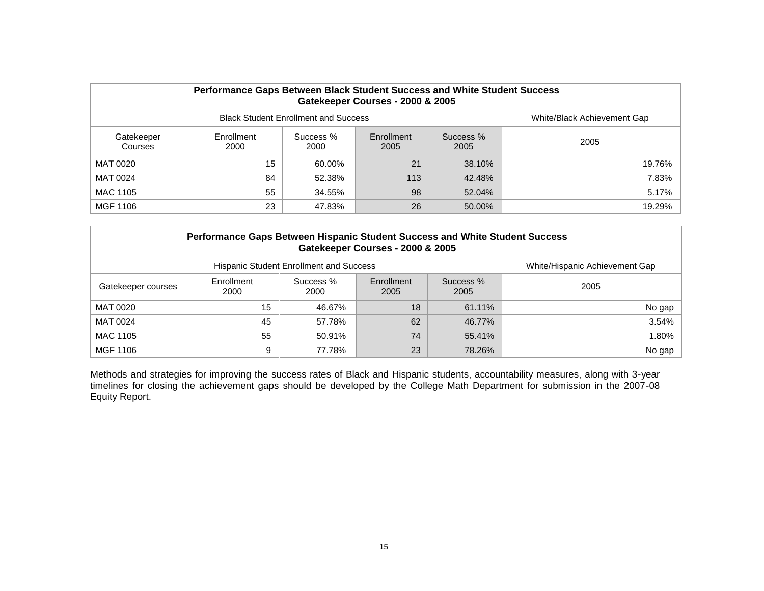| Performance Gaps Between Black Student Success and White Student Success<br>Gatekeeper Courses - 2000 & 2005 |                    |        |     |        |        |  |  |  |  |  |
|--------------------------------------------------------------------------------------------------------------|--------------------|--------|-----|--------|--------|--|--|--|--|--|
| <b>Black Student Enrollment and Success</b><br>White/Black Achievement Gap                                   |                    |        |     |        |        |  |  |  |  |  |
| Gatekeeper<br>Courses                                                                                        | Enrollment<br>2000 | 2005   |     |        |        |  |  |  |  |  |
| MAT 0020                                                                                                     | 15                 | 60.00% | 21  | 38.10% | 19.76% |  |  |  |  |  |
| MAT 0024                                                                                                     | 84                 | 52.38% | 113 | 42.48% | 7.83%  |  |  |  |  |  |
| MAC 1105                                                                                                     | 55                 | 34.55% | 98  | 52.04% | 5.17%  |  |  |  |  |  |
| MGF 1106                                                                                                     | 23                 | 47.83% | 26  | 50.00% | 19.29% |  |  |  |  |  |

| Performance Gaps Between Hispanic Student Success and White Student Success<br>Gatekeeper Courses - 2000 & 2005  |    |        |    |        |        |  |  |  |  |  |  |
|------------------------------------------------------------------------------------------------------------------|----|--------|----|--------|--------|--|--|--|--|--|--|
| White/Hispanic Achievement Gap<br><b>Hispanic Student Enrollment and Success</b>                                 |    |        |    |        |        |  |  |  |  |  |  |
| Enrollment<br>Success %<br>Enrollment<br>Success %<br>2005<br>Gatekeeper courses<br>2000<br>2005<br>2005<br>2000 |    |        |    |        |        |  |  |  |  |  |  |
| MAT 0020                                                                                                         | 15 | 46.67% | 18 | 61.11% | No gap |  |  |  |  |  |  |
| MAT 0024                                                                                                         | 45 | 57.78% | 62 | 46.77% | 3.54%  |  |  |  |  |  |  |
| MAC 1105                                                                                                         | 55 | 50.91% | 74 | 55.41% | 1.80%  |  |  |  |  |  |  |
| MGF 1106                                                                                                         | 9  | 77.78% | 23 | 78.26% | No gap |  |  |  |  |  |  |

Methods and strategies for improving the success rates of Black and Hispanic students, accountability measures, along with 3-year timelines for closing the achievement gaps should be developed by the College Math Department for submission in the 2007-08 Equity Report.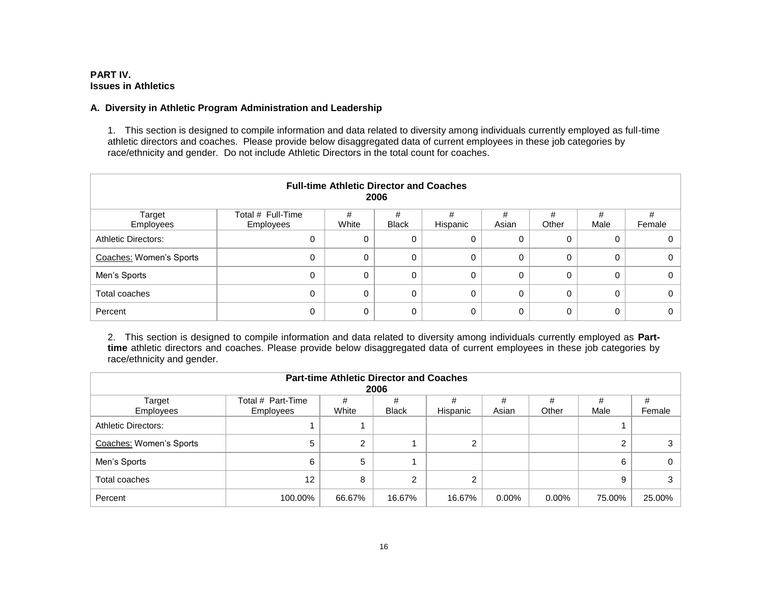## **PART IV. Issues in Athletics**

#### **A. Diversity in Athletic Program Administration and Leadership**

1. This section is designed to compile information and data related to diversity among individuals currently employed as full-time athletic directors and coaches. Please provide below disaggregated data of current employees in these job categories by race/ethnicity and gender. Do not include Athletic Directors in the total count for coaches.

| <b>Full-time Athletic Director and Coaches</b><br>2006 |                                |            |                   |               |            |            |           |        |  |  |
|--------------------------------------------------------|--------------------------------|------------|-------------------|---------------|------------|------------|-----------|--------|--|--|
| Target<br>Employees                                    | Total # Full-Time<br>Employees | #<br>White | #<br><b>Black</b> | #<br>Hispanic | #<br>Asian | #<br>Other | #<br>Male | Female |  |  |
| <b>Athletic Directors:</b>                             | 0                              | 0          | 0                 | 0             | 0          | 0          | 0         |        |  |  |
| Coaches: Women's Sports                                | 0                              | $\Omega$   | 0                 | 0             | 0          | 0          | $\Omega$  |        |  |  |
| Men's Sports                                           | 0                              | $\Omega$   | 0                 | 0             | 0          | 0          | $\Omega$  |        |  |  |
| Total coaches                                          | 0                              | $\Omega$   | $\Omega$          | 0             | 0          | 0          | $\Omega$  |        |  |  |
| Percent                                                | 0                              | $\Omega$   | 0                 | 0             | 0          | 0          | $\Omega$  |        |  |  |

2. This section is designed to compile information and data related to diversity among individuals currently employed as **Parttime** athletic directors and coaches. Please provide below disaggregated data of current employees in these job categories by race/ethnicity and gender.

| <b>Part-time Athletic Director and Coaches</b><br>2006 |                                |            |                   |               |            |            |           |             |  |  |
|--------------------------------------------------------|--------------------------------|------------|-------------------|---------------|------------|------------|-----------|-------------|--|--|
| Target<br>Employees                                    | Total # Part-Time<br>Employees | #<br>White | #<br><b>Black</b> | #<br>Hispanic | #<br>Asian | #<br>Other | #<br>Male | #<br>Female |  |  |
| <b>Athletic Directors:</b>                             |                                |            |                   |               |            |            |           |             |  |  |
| Coaches: Women's Sports                                | 5                              | 2          |                   | ົ             |            |            |           |             |  |  |
| Men's Sports                                           | 6                              | 5          |                   |               |            |            | 6         |             |  |  |
| Total coaches                                          | 12                             | 8          | ົ                 | ⌒             |            |            | 9         |             |  |  |
| Percent                                                | 100.00%                        | 66.67%     | 16.67%            | 16.67%        | $0.00\%$   | $0.00\%$   | 75.00%    | 25.00%      |  |  |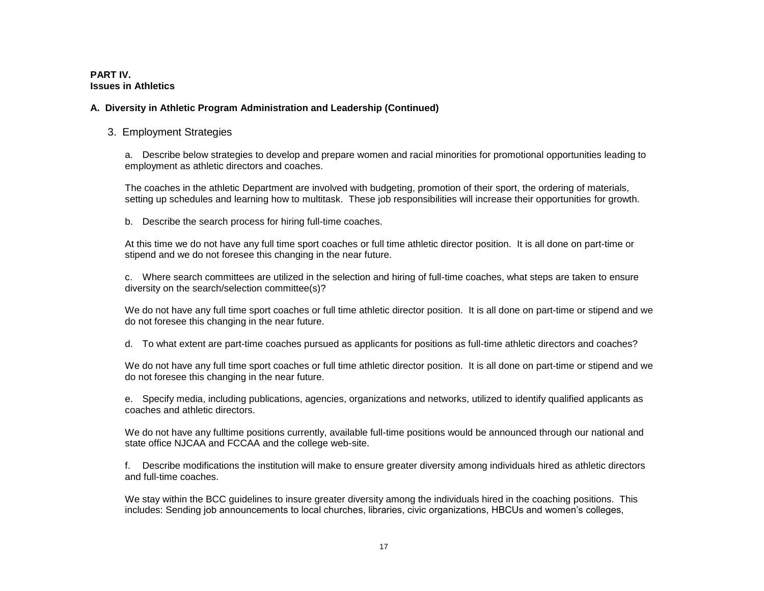#### **PART IV. Issues in Athletics**

## **A. Diversity in Athletic Program Administration and Leadership (Continued)**

#### 3. Employment Strategies

a. Describe below strategies to develop and prepare women and racial minorities for promotional opportunities leading to employment as athletic directors and coaches.

The coaches in the athletic Department are involved with budgeting, promotion of their sport, the ordering of materials, setting up schedules and learning how to multitask. These job responsibilities will increase their opportunities for growth.

b. Describe the search process for hiring full-time coaches.

At this time we do not have any full time sport coaches or full time athletic director position. It is all done on part-time or stipend and we do not foresee this changing in the near future.

c. Where search committees are utilized in the selection and hiring of full-time coaches, what steps are taken to ensure diversity on the search/selection committee(s)?

We do not have any full time sport coaches or full time athletic director position. It is all done on part-time or stipend and we do not foresee this changing in the near future.

d. To what extent are part-time coaches pursued as applicants for positions as full-time athletic directors and coaches?

We do not have any full time sport coaches or full time athletic director position. It is all done on part-time or stipend and we do not foresee this changing in the near future.

e. Specify media, including publications, agencies, organizations and networks, utilized to identify qualified applicants as coaches and athletic directors.

We do not have any fulltime positions currently, available full-time positions would be announced through our national and state office NJCAA and FCCAA and the college web-site.

f. Describe modifications the institution will make to ensure greater diversity among individuals hired as athletic directors and full-time coaches.

We stay within the BCC guidelines to insure greater diversity among the individuals hired in the coaching positions. This includes: Sending job announcements to local churches, libraries, civic organizations, HBCUs and women's colleges,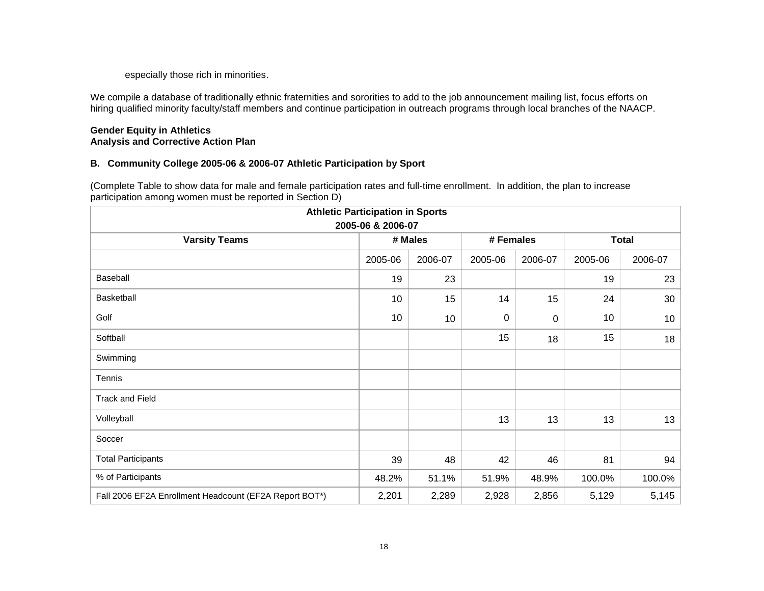especially those rich in minorities.

We compile a database of traditionally ethnic fraternities and sororities to add to the job announcement mailing list, focus efforts on hiring qualified minority faculty/staff members and continue participation in outreach programs through local branches of the NAACP.

#### **Gender Equity in Athletics Analysis and Corrective Action Plan**

## **B. Community College 2005-06 & 2006-07 Athletic Participation by Sport**

(Complete Table to show data for male and female participation rates and full-time enrollment. In addition, the plan to increase participation among women must be reported in Section D)

| <b>Athletic Participation in Sports</b>                |                    |         |           |             |              |                 |  |  |  |
|--------------------------------------------------------|--------------------|---------|-----------|-------------|--------------|-----------------|--|--|--|
| 2005-06 & 2006-07                                      |                    |         |           |             |              |                 |  |  |  |
| <b>Varsity Teams</b>                                   |                    | # Males | # Females |             | <b>Total</b> |                 |  |  |  |
|                                                        | 2005-06<br>2006-07 |         | 2005-06   | 2006-07     | 2005-06      | 2006-07         |  |  |  |
| Baseball                                               | 19                 | 23      |           |             | 19           | 23              |  |  |  |
| Basketball                                             | 10                 | 15      | 14        | 15          | 24           | 30              |  |  |  |
| Golf                                                   | 10                 | 10      | 0         | $\mathbf 0$ | 10           | 10 <sup>°</sup> |  |  |  |
| Softball                                               |                    |         | 15        | 18          | 15           | 18              |  |  |  |
| Swimming                                               |                    |         |           |             |              |                 |  |  |  |
| Tennis                                                 |                    |         |           |             |              |                 |  |  |  |
| <b>Track and Field</b>                                 |                    |         |           |             |              |                 |  |  |  |
| Volleyball                                             |                    |         | 13        | 13          | 13           | 13              |  |  |  |
| Soccer                                                 |                    |         |           |             |              |                 |  |  |  |
| <b>Total Participants</b>                              | 39                 | 48      | 42        | 46          | 81           | 94              |  |  |  |
| % of Participants                                      | 48.2%              | 51.1%   | 51.9%     | 48.9%       | 100.0%       | 100.0%          |  |  |  |
| Fall 2006 EF2A Enrollment Headcount (EF2A Report BOT*) | 2,201              | 2,289   | 2,928     | 2,856       | 5,129        | 5,145           |  |  |  |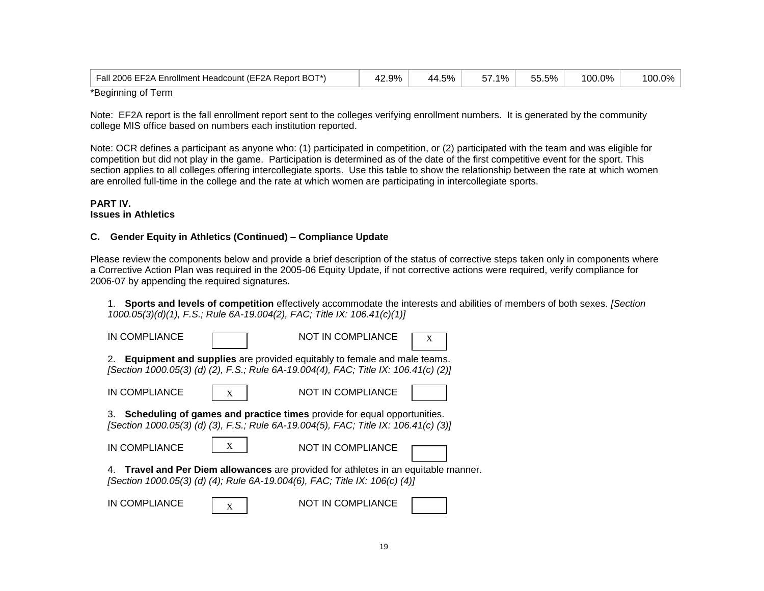| Fall 2006 EF2A Enrollment Headcount (EF2A Report BOT*) | 42.9% | 44.5% | .1%<br>--<br>. זכ | 55.5% | 100.0% | $\overline{100}$<br>00.0% |
|--------------------------------------------------------|-------|-------|-------------------|-------|--------|---------------------------|
| *Reginning of Term                                     |       |       |                   |       |        |                           |

\*Beginning or Term

Note: EF2A report is the fall enrollment report sent to the colleges verifying enrollment numbers. It is generated by the community college MIS office based on numbers each institution reported.

Note: OCR defines a participant as anyone who: (1) participated in competition, or (2) participated with the team and was eligible for competition but did not play in the game. Participation is determined as of the date of the first competitive event for the sport. This section applies to all colleges offering intercollegiate sports. Use this table to show the relationship between the rate at which women are enrolled full-time in the college and the rate at which women are participating in intercollegiate sports.

#### **PART IV. Issues in Athletics**

## **C. Gender Equity in Athletics (Continued) – Compliance Update**

Please review the components below and provide a brief description of the status of corrective steps taken only in components where a Corrective Action Plan was required in the 2005-06 Equity Update, if not corrective actions were required, verify compliance for 2006-07 by appending the required signatures.

1. **Sports and levels of competition** effectively accommodate the interests and abilities of members of both sexes. *[Section 1000.05(3)(d)(1), F.S.; Rule 6A-19.004(2), FAC; Title IX: 106.41(c)(1)]*

| IN COMPLIANCE |   | NOT IN COMPLIANCE                                                                                                                                                     | X |
|---------------|---|-----------------------------------------------------------------------------------------------------------------------------------------------------------------------|---|
| 2.            |   | <b>Equipment and supplies</b> are provided equitably to female and male teams.<br>[Section 1000.05(3) (d) (2), F.S.; Rule 6A-19.004(4), FAC; Title IX: 106.41(c) (2)] |   |
| IN COMPLIANCE | X | NOT IN COMPLIANCE                                                                                                                                                     |   |
| 3.            |   | <b>Scheduling of games and practice times</b> provide for equal opportunities.<br>[Section 1000.05(3) (d) (3), F.S.; Rule 6A-19.004(5), FAC; Title IX: 106.41(c) (3)] |   |
| IN COMPLIANCE | X | NOT IN COMPLIANCE                                                                                                                                                     |   |
|               |   | 4. Travel and Per Diem allowances are provided for athletes in an equitable manner.<br>[Section 1000.05(3) (d) (4); Rule 6A-19.004(6), FAC; Title IX: 106(c) (4)]     |   |
| IN COMPLIANCE | X | NOT IN COMPLIANCE                                                                                                                                                     |   |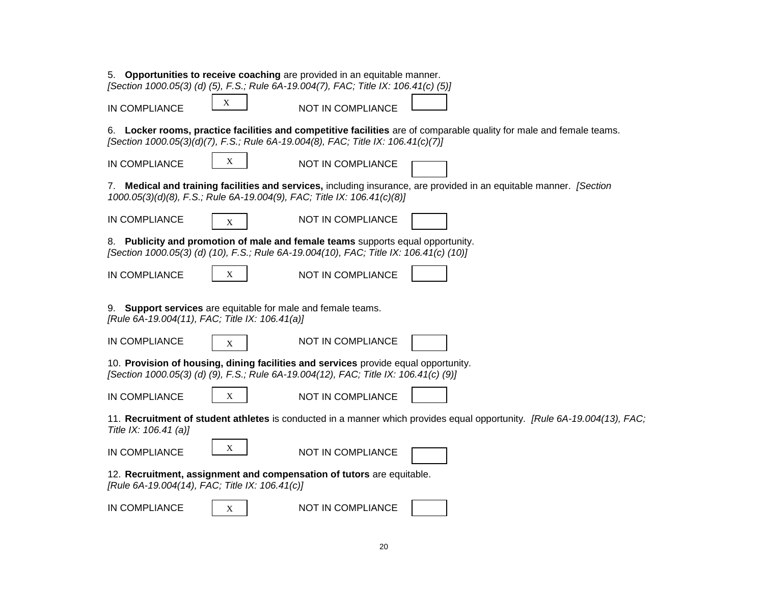|                                                                                                                |   | 5. Opportunities to receive coaching are provided in an equitable manner.<br>[Section 1000.05(3) (d) (5), F.S.; Rule 6A-19.004(7), FAC; Title IX: 106.41(c) (5)]            |                                                                                                                          |
|----------------------------------------------------------------------------------------------------------------|---|-----------------------------------------------------------------------------------------------------------------------------------------------------------------------------|--------------------------------------------------------------------------------------------------------------------------|
| IN COMPLIANCE                                                                                                  | X | NOT IN COMPLIANCE                                                                                                                                                           |                                                                                                                          |
|                                                                                                                |   | [Section 1000.05(3)(d)(7), F.S.; Rule 6A-19.004(8), FAC; Title IX: 106.41(c)(7)]                                                                                            | 6. Locker rooms, practice facilities and competitive facilities are of comparable quality for male and female teams.     |
| IN COMPLIANCE                                                                                                  | X | NOT IN COMPLIANCE                                                                                                                                                           |                                                                                                                          |
|                                                                                                                |   | 1000.05(3)(d)(8), F.S.; Rule 6A-19.004(9), FAC; Title IX: 106.41(c)(8)]                                                                                                     | 7. Medical and training facilities and services, including insurance, are provided in an equitable manner. [Section      |
| <b>IN COMPLIANCE</b>                                                                                           | X | NOT IN COMPLIANCE                                                                                                                                                           |                                                                                                                          |
|                                                                                                                |   | 8. Publicity and promotion of male and female teams supports equal opportunity.<br>[Section 1000.05(3) (d) (10), F.S.; Rule 6A-19.004(10), FAC; Title IX: 106.41(c) (10)]   |                                                                                                                          |
| IN COMPLIANCE                                                                                                  | X | NOT IN COMPLIANCE                                                                                                                                                           |                                                                                                                          |
| 9. Support services are equitable for male and female teams.<br>[Rule 6A-19.004(11), FAC; Title IX: 106.41(a)] |   |                                                                                                                                                                             |                                                                                                                          |
| IN COMPLIANCE                                                                                                  | X | NOT IN COMPLIANCE                                                                                                                                                           |                                                                                                                          |
|                                                                                                                |   | 10. Provision of housing, dining facilities and services provide equal opportunity.<br>[Section 1000.05(3) (d) (9), F.S.; Rule 6A-19.004(12), FAC; Title IX: 106.41(c) (9)] |                                                                                                                          |
| IN COMPLIANCE                                                                                                  | X | NOT IN COMPLIANCE                                                                                                                                                           |                                                                                                                          |
| Title IX: 106.41 (a)]                                                                                          |   |                                                                                                                                                                             | 11. Recruitment of student athletes is conducted in a manner which provides equal opportunity. [Rule 6A-19.004(13), FAC; |
| IN COMPLIANCE                                                                                                  | X | NOT IN COMPLIANCE                                                                                                                                                           |                                                                                                                          |
| [Rule 6A-19.004(14), FAC; Title IX: 106.41(c)]                                                                 |   | 12. Recruitment, assignment and compensation of tutors are equitable.                                                                                                       |                                                                                                                          |
| IN COMPLIANCE                                                                                                  | X | NOT IN COMPLIANCE                                                                                                                                                           |                                                                                                                          |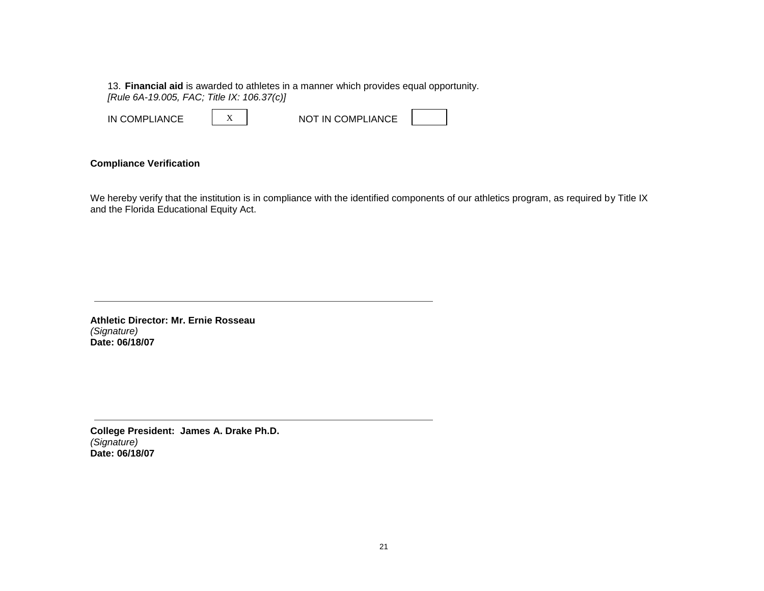13. **Financial aid** is awarded to athletes in a manner which provides equal opportunity. *[Rule 6A-19.005, FAC; Title IX: 106.37(c)]*

| IN COMPLIANCE |  | NOT IN COMPLIANCE |  |
|---------------|--|-------------------|--|
|---------------|--|-------------------|--|

## **Compliance Verification**

We hereby verify that the institution is in compliance with the identified components of our athletics program, as required by Title IX and the Florida Educational Equity Act.

**Athletic Director: Mr. Ernie Rosseau**  *(Signature)* **Date: 06/18/07** 

**College President: James A. Drake Ph.D.** *(Signature)* **Date: 06/18/07**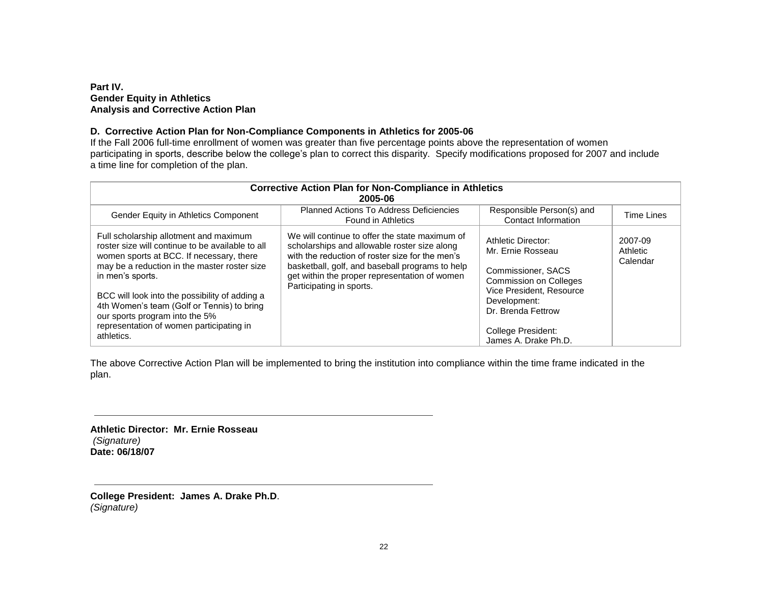#### **Part IV. Gender Equity in Athletics Analysis and Corrective Action Plan**

#### **D. Corrective Action Plan for Non-Compliance Components in Athletics for 2005-06**

If the Fall 2006 full-time enrollment of women was greater than five percentage points above the representation of women participating in sports, describe below the college's plan to correct this disparity. Specify modifications proposed for 2007 and include a time line for completion of the plan.

| <b>Corrective Action Plan for Non-Compliance in Athletics</b><br>2005-06                                                                                                                                                                                                                                                                                                                               |                                                                                                                                                                                                                                                                                   |                                                                                                                                                                                                                |                                 |  |  |  |  |  |
|--------------------------------------------------------------------------------------------------------------------------------------------------------------------------------------------------------------------------------------------------------------------------------------------------------------------------------------------------------------------------------------------------------|-----------------------------------------------------------------------------------------------------------------------------------------------------------------------------------------------------------------------------------------------------------------------------------|----------------------------------------------------------------------------------------------------------------------------------------------------------------------------------------------------------------|---------------------------------|--|--|--|--|--|
| Gender Equity in Athletics Component                                                                                                                                                                                                                                                                                                                                                                   | <b>Planned Actions To Address Deficiencies</b><br>Found in Athletics                                                                                                                                                                                                              | Responsible Person(s) and<br>Contact Information                                                                                                                                                               | Time Lines                      |  |  |  |  |  |
| Full scholarship allotment and maximum<br>roster size will continue to be available to all<br>women sports at BCC. If necessary, there<br>may be a reduction in the master roster size<br>in men's sports.<br>BCC will look into the possibility of adding a<br>4th Women's team (Golf or Tennis) to bring<br>our sports program into the 5%<br>representation of women participating in<br>athletics. | We will continue to offer the state maximum of<br>scholarships and allowable roster size along<br>with the reduction of roster size for the men's<br>basketball, golf, and baseball programs to help<br>get within the proper representation of women<br>Participating in sports. | Athletic Director:<br>Mr. Ernie Rosseau<br>Commissioner, SACS<br><b>Commission on Colleges</b><br>Vice President, Resource<br>Development:<br>Dr. Brenda Fettrow<br>College President:<br>James A. Drake Ph.D. | 2007-09<br>Athletic<br>Calendar |  |  |  |  |  |

The above Corrective Action Plan will be implemented to bring the institution into compliance within the time frame indicated in the plan.

**Athletic Director: Mr. Ernie Rosseau** *(Signature)* **Date: 06/18/07** 

**College President: James A. Drake Ph.D**. *(Signature)*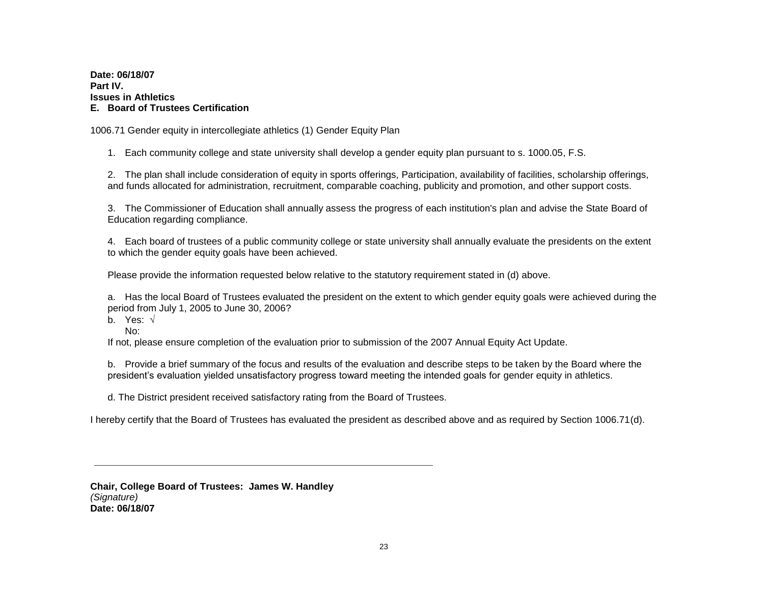**Date: 06/18/07 Part IV. Issues in Athletics E. Board of Trustees Certification**

1006.71 Gender equity in intercollegiate athletics (1) Gender Equity Plan

1. Each community college and state university shall develop a gender equity plan pursuant to s. 1000.05, F.S.

2. The plan shall include consideration of equity in sports offerings, Participation, availability of facilities, scholarship offerings, and funds allocated for administration, recruitment, comparable coaching, publicity and promotion, and other support costs.

3. The Commissioner of Education shall annually assess the progress of each institution's plan and advise the State Board of Education regarding compliance.

4. Each board of trustees of a public community college or state university shall annually evaluate the presidents on the extent to which the gender equity goals have been achieved.

Please provide the information requested below relative to the statutory requirement stated in (d) above.

a. Has the local Board of Trustees evaluated the president on the extent to which gender equity goals were achieved during the period from July 1, 2005 to June 30, 2006?

b. Yes:  $\sqrt{ }$ 

No:

If not, please ensure completion of the evaluation prior to submission of the 2007 Annual Equity Act Update.

b. Provide a brief summary of the focus and results of the evaluation and describe steps to be taken by the Board where the president's evaluation yielded unsatisfactory progress toward meeting the intended goals for gender equity in athletics.

d. The District president received satisfactory rating from the Board of Trustees.

I hereby certify that the Board of Trustees has evaluated the president as described above and as required by Section 1006.71(d).

**Chair, College Board of Trustees: James W. Handley** *(Signature)* **Date: 06/18/07**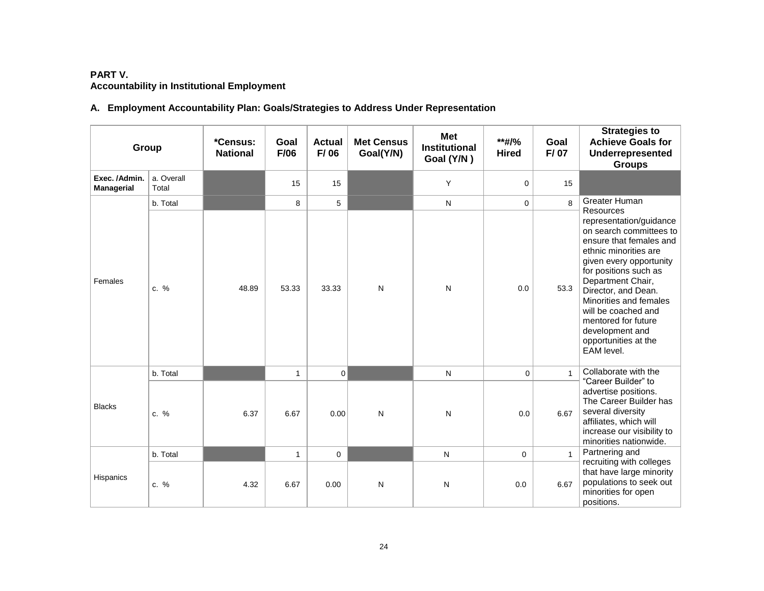# **PART V. Accountability in Institutional Employment**

# **A. Employment Accountability Plan: Goals/Strategies to Address Under Representation**

| Group                              |                     | *Census:<br><b>National</b> | Goal<br>F/06 | <b>Actual</b><br>F/06 | <b>Met Census</b><br>Goal(Y/N) | <b>Met</b><br><b>Institutional</b><br>Goal (Y/N) | **#/%<br><b>Hired</b> | Goal<br>F/07 | <b>Strategies to</b><br><b>Achieve Goals for</b><br>Underrepresented<br><b>Groups</b>                                                                                                                                                                                                                                                   |
|------------------------------------|---------------------|-----------------------------|--------------|-----------------------|--------------------------------|--------------------------------------------------|-----------------------|--------------|-----------------------------------------------------------------------------------------------------------------------------------------------------------------------------------------------------------------------------------------------------------------------------------------------------------------------------------------|
| Exec. /Admin.<br><b>Managerial</b> | a. Overall<br>Total |                             | 15           | 15                    |                                | Y                                                | $\mathbf 0$           | 15           |                                                                                                                                                                                                                                                                                                                                         |
|                                    | b. Total            |                             | 8            | 5                     |                                | $\mathsf{N}$                                     | $\mathbf 0$           | 8            | Greater Human<br>Resources                                                                                                                                                                                                                                                                                                              |
| Females                            | $c. \%$             | 48.89                       | 53.33        | 33.33                 | N                              | $\mathsf{N}$                                     | 0.0                   | 53.3         | representation/guidance<br>on search committees to<br>ensure that females and<br>ethnic minorities are<br>given every opportunity<br>for positions such as<br>Department Chair,<br>Director, and Dean.<br>Minorities and females<br>will be coached and<br>mentored for future<br>development and<br>opportunities at the<br>EAM level. |
|                                    | b. Total            |                             | 1            | $\mathbf 0$           |                                | $\mathsf{N}$                                     | $\mathbf 0$           | $\mathbf{1}$ | Collaborate with the                                                                                                                                                                                                                                                                                                                    |
| <b>Blacks</b>                      | c. %                | 6.37                        | 6.67         | 0.00                  | N                              | ${\sf N}$                                        | 0.0                   | 6.67         | "Career Builder" to<br>advertise positions.<br>The Career Builder has<br>several diversity<br>affiliates, which will<br>increase our visibility to<br>minorities nationwide.                                                                                                                                                            |
|                                    | b. Total            |                             | $\mathbf{1}$ | $\mathbf 0$           |                                | N                                                | $\mathbf 0$           |              | Partnering and                                                                                                                                                                                                                                                                                                                          |
| Hispanics                          | c. %                | 4.32                        | 6.67         | 0.00                  | N                              | N                                                | 0.0                   | 6.67         | recruiting with colleges<br>that have large minority<br>populations to seek out<br>minorities for open<br>positions.                                                                                                                                                                                                                    |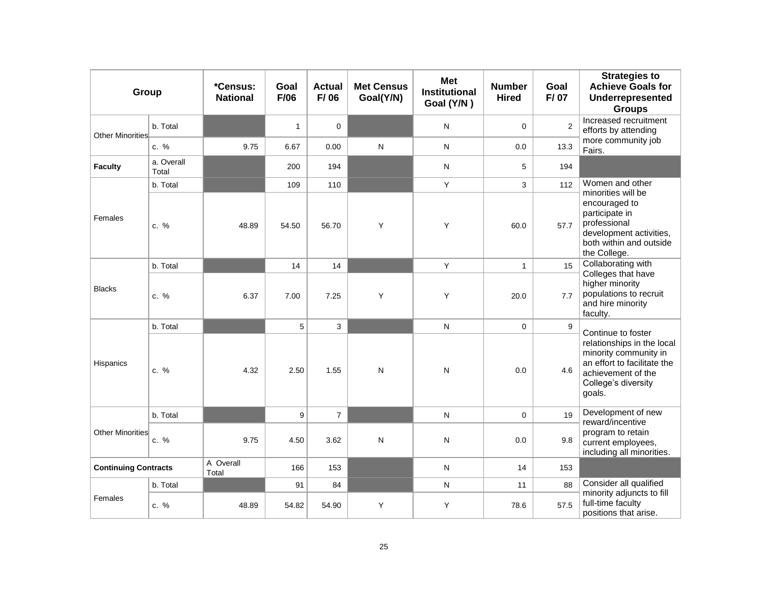| Group                       |                     | *Census:<br><b>National</b> | Goal<br>F/06 | <b>Actual</b><br>F/06 | <b>Met Census</b><br>Goal(Y/N) | <b>Met</b><br><b>Institutional</b><br>Goal (Y/N) | <b>Number</b><br><b>Hired</b> | Goal<br>F/07 | <b>Strategies to</b><br><b>Achieve Goals for</b><br>Underrepresented<br><b>Groups</b>                                                     |
|-----------------------------|---------------------|-----------------------------|--------------|-----------------------|--------------------------------|--------------------------------------------------|-------------------------------|--------------|-------------------------------------------------------------------------------------------------------------------------------------------|
| Other Minorities            | b. Total            |                             | $\mathbf{1}$ | $\mathbf 0$           |                                | N                                                | 0                             | 2            | Increased recruitment<br>efforts by attending                                                                                             |
|                             | c. %                | 9.75                        | 6.67         | 0.00                  | $\mathsf{N}$                   | N                                                | 0.0                           | 13.3         | more community job<br>Fairs.                                                                                                              |
| <b>Faculty</b>              | a. Overall<br>Total |                             | 200          | 194                   |                                | N                                                | 5                             | 194          |                                                                                                                                           |
|                             | b. Total            |                             | 109          | 110                   |                                | Y                                                | 3                             | 112          | Women and other<br>minorities will be                                                                                                     |
| Females                     | $c. \%$             | 48.89                       | 54.50        | 56.70                 | Y                              | Y                                                | 60.0                          | 57.7         | encouraged to<br>participate in<br>professional<br>development activities,<br>both within and outside<br>the College.                     |
|                             | b. Total            |                             | 14           | 14                    |                                | Y                                                | $\mathbf{1}$                  | 15           | Collaborating with                                                                                                                        |
| <b>Blacks</b>               | $c. \%$             | 6.37                        | 7.00         | 7.25                  | Y                              | Υ                                                | 20.0                          | 7.7          | Colleges that have<br>higher minority<br>populations to recruit<br>and hire minority<br>faculty.                                          |
|                             | b. Total            |                             | 5            | 3                     |                                | N                                                | $\mathbf 0$                   | 9            | Continue to foster                                                                                                                        |
| Hispanics                   | $c. \%$             | 4.32                        | 2.50         | 1.55                  | N                              | N                                                | 0.0                           | 4.6          | relationships in the local<br>minority community in<br>an effort to facilitate the<br>achievement of the<br>College's diversity<br>goals. |
|                             | b. Total            |                             | 9            | $\overline{7}$        |                                | N                                                | 0                             | 19           | Development of new<br>reward/incentive                                                                                                    |
| Other Minorities            | c. %                | 9.75                        | 4.50         | 3.62                  | ${\sf N}$                      | N                                                | 0.0                           | 9.8          | program to retain<br>current employees,<br>including all minorities.                                                                      |
| <b>Continuing Contracts</b> |                     | A Overall<br>Total          | 166          | 153                   |                                | N                                                | 14                            | 153          |                                                                                                                                           |
|                             | b. Total            |                             | 91           | 84                    |                                | N                                                | 11                            | 88           | Consider all qualified                                                                                                                    |
| Females                     | $c. \%$             | 48.89                       | 54.82        | 54.90                 | Y                              | Υ                                                | 78.6                          | 57.5         | minority adjuncts to fill<br>full-time faculty<br>positions that arise.                                                                   |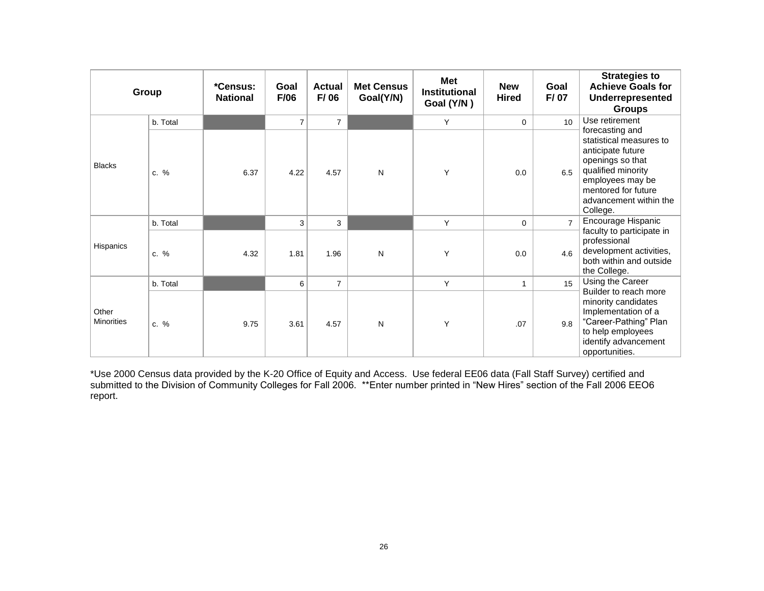|                            | Group    | *Census:<br><b>National</b> | Goal<br>F/06   | <b>Actual</b><br>F/06 | <b>Met Census</b><br>Goal(Y/N) | Met<br><b>Institutional</b><br>Goal (Y/N) | <b>New</b><br><b>Hired</b> | Goal<br>F/07   | <b>Strategies to</b><br><b>Achieve Goals for</b><br>Underrepresented<br><b>Groups</b>                                                                                                      |
|----------------------------|----------|-----------------------------|----------------|-----------------------|--------------------------------|-------------------------------------------|----------------------------|----------------|--------------------------------------------------------------------------------------------------------------------------------------------------------------------------------------------|
|                            | b. Total |                             | $\overline{7}$ | $\overline{7}$        |                                | Y                                         | $\mathbf 0$                | 10             | Use retirement                                                                                                                                                                             |
| <b>Blacks</b>              | $c. \%$  | 6.37                        | 4.22           | 4.57                  | N                              | Y                                         | 0.0                        | 6.5            | forecasting and<br>statistical measures to<br>anticipate future<br>openings so that<br>qualified minority<br>employees may be<br>mentored for future<br>advancement within the<br>College. |
|                            | b. Total |                             | 3              | 3                     |                                | Y                                         | $\mathbf 0$                | $\overline{7}$ | Encourage Hispanic                                                                                                                                                                         |
| Hispanics                  | c. %     | 4.32                        | 1.81           | 1.96                  | N                              | Y                                         | 0.0                        | 4.6            | faculty to participate in<br>professional<br>development activities,<br>both within and outside<br>the College.                                                                            |
|                            | b. Total |                             | 6              | $\overline{7}$        |                                | Y                                         | $\mathbf{1}$               | 15             | Using the Career                                                                                                                                                                           |
| Other<br><b>Minorities</b> | $c. \%$  | 9.75                        | 3.61           | 4.57                  | N                              | Y                                         | .07                        | 9.8            | Builder to reach more<br>minority candidates<br>Implementation of a<br>"Career-Pathing" Plan<br>to help employees<br>identify advancement<br>opportunities.                                |

\*Use 2000 Census data provided by the K-20 Office of Equity and Access. Use federal EE06 data (Fall Staff Survey) certified and submitted to the Division of Community Colleges for Fall 2006. \*\*Enter number printed in "New Hires" section of the Fall 2006 EEO6 report.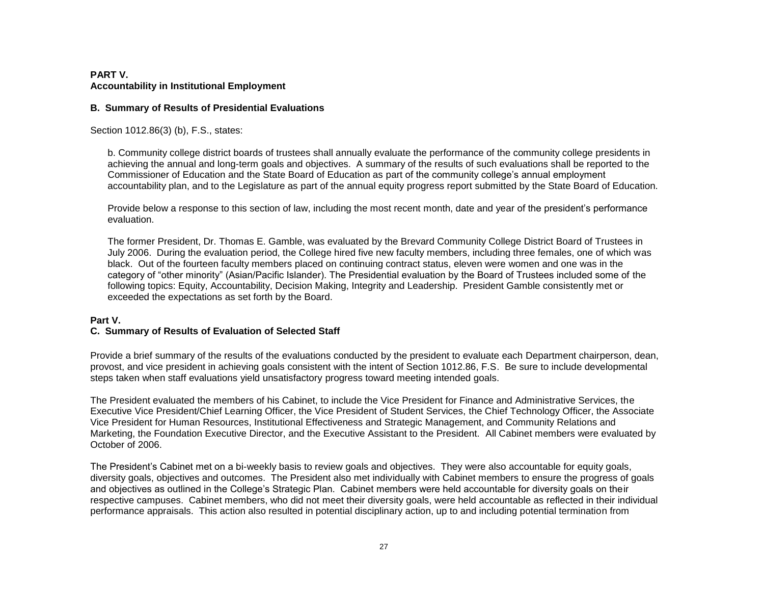## **PART V. Accountability in Institutional Employment**

#### **B. Summary of Results of Presidential Evaluations**

Section 1012.86(3) (b), F.S., states:

b. Community college district boards of trustees shall annually evaluate the performance of the community college presidents in achieving the annual and long-term goals and objectives. A summary of the results of such evaluations shall be reported to the Commissioner of Education and the State Board of Education as part of the community college's annual employment accountability plan, and to the Legislature as part of the annual equity progress report submitted by the State Board of Education.

Provide below a response to this section of law, including the most recent month, date and year of the president's performance evaluation.

The former President, Dr. Thomas E. Gamble, was evaluated by the Brevard Community College District Board of Trustees in July 2006. During the evaluation period, the College hired five new faculty members, including three females, one of which was black. Out of the fourteen faculty members placed on continuing contract status, eleven were women and one was in the category of "other minority" (Asian/Pacific Islander). The Presidential evaluation by the Board of Trustees included some of the following topics: Equity, Accountability, Decision Making, Integrity and Leadership. President Gamble consistently met or exceeded the expectations as set forth by the Board.

## **Part V.**

## **C. Summary of Results of Evaluation of Selected Staff**

Provide a brief summary of the results of the evaluations conducted by the president to evaluate each Department chairperson, dean, provost, and vice president in achieving goals consistent with the intent of Section 1012.86, F.S. Be sure to include developmental steps taken when staff evaluations yield unsatisfactory progress toward meeting intended goals.

The President evaluated the members of his Cabinet, to include the Vice President for Finance and Administrative Services, the Executive Vice President/Chief Learning Officer, the Vice President of Student Services, the Chief Technology Officer, the Associate Vice President for Human Resources, Institutional Effectiveness and Strategic Management, and Community Relations and Marketing, the Foundation Executive Director, and the Executive Assistant to the President. All Cabinet members were evaluated by October of 2006.

The President's Cabinet met on a bi-weekly basis to review goals and objectives. They were also accountable for equity goals, diversity goals, objectives and outcomes. The President also met individually with Cabinet members to ensure the progress of goals and objectives as outlined in the College's Strategic Plan. Cabinet members were held accountable for diversity goals on their respective campuses. Cabinet members, who did not meet their diversity goals, were held accountable as reflected in their individual performance appraisals. This action also resulted in potential disciplinary action, up to and including potential termination from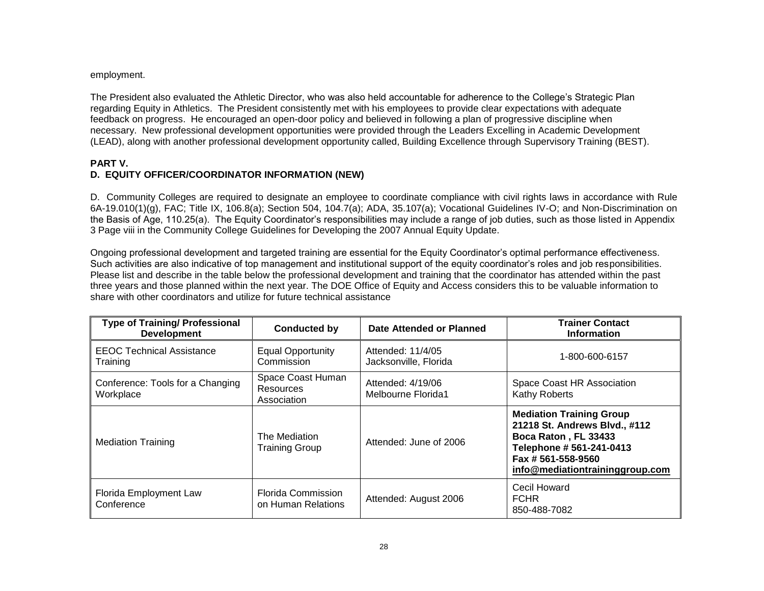#### employment.

The President also evaluated the Athletic Director, who was also held accountable for adherence to the College's Strategic Plan regarding Equity in Athletics. The President consistently met with his employees to provide clear expectations with adequate feedback on progress. He encouraged an open-door policy and believed in following a plan of progressive discipline when necessary. New professional development opportunities were provided through the Leaders Excelling in Academic Development (LEAD), along with another professional development opportunity called, Building Excellence through Supervisory Training (BEST).

#### **PART V. D. EQUITY OFFICER/COORDINATOR INFORMATION (NEW)**

D. Community Colleges are required to designate an employee to coordinate compliance with civil rights laws in accordance with Rule 6A-19.010(1)(g), FAC; Title IX, 106.8(a); Section 504, 104.7(a); ADA, 35.107(a); Vocational Guidelines IV-O; and Non-Discrimination on the Basis of Age, 110.25(a). The Equity Coordinator's responsibilities may include a range of job duties, such as those listed in Appendix 3 Page viii in the Community College Guidelines for Developing the 2007 Annual Equity Update.

Ongoing professional development and targeted training are essential for the Equity Coordinator's optimal performance effectiveness. Such activities are also indicative of top management and institutional support of the equity coordinator's roles and job responsibilities. Please list and describe in the table below the professional development and training that the coordinator has attended within the past three years and those planned within the next year. The DOE Office of Equity and Access considers this to be valuable information to share with other coordinators and utilize for future technical assistance

| <b>Type of Training/ Professional</b><br><b>Development</b> | <b>Conducted by</b>                           | Date Attended or Planned                   | <b>Trainer Contact</b><br><b>Information</b>                                                                                                                                  |
|-------------------------------------------------------------|-----------------------------------------------|--------------------------------------------|-------------------------------------------------------------------------------------------------------------------------------------------------------------------------------|
| <b>EEOC Technical Assistance</b><br>Training                | <b>Equal Opportunity</b><br>Commission        | Attended: 11/4/05<br>Jacksonville, Florida | 1-800-600-6157                                                                                                                                                                |
| Conference: Tools for a Changing<br>Workplace               | Space Coast Human<br>Resources<br>Association | Attended: 4/19/06<br>Melbourne Florida1    | Space Coast HR Association<br>Kathy Roberts                                                                                                                                   |
| <b>Mediation Training</b>                                   | The Mediation<br><b>Training Group</b>        | Attended: June of 2006                     | <b>Mediation Training Group</b><br>21218 St. Andrews Blvd., #112<br>Boca Raton, FL 33433<br>Telephone # 561-241-0413<br>Fax # 561-558-9560<br>info@mediationtraininggroup.com |
| Florida Employment Law<br>Conference                        | Florida Commission<br>on Human Relations      | Attended: August 2006                      | Cecil Howard<br><b>FCHR</b><br>850-488-7082                                                                                                                                   |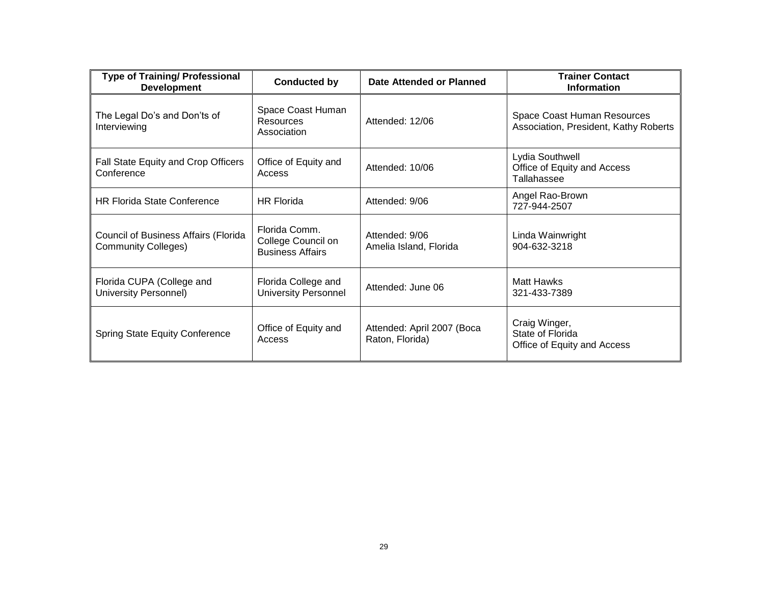| <b>Type of Training/ Professional</b><br><b>Development</b>        | <b>Conducted by</b>                                            | Date Attended or Planned                      | <b>Trainer Contact</b><br><b>Information</b>                         |
|--------------------------------------------------------------------|----------------------------------------------------------------|-----------------------------------------------|----------------------------------------------------------------------|
| The Legal Do's and Don'ts of<br>Interviewing                       | Space Coast Human<br><b>Resources</b><br>Association           | Attended: 12/06                               | Space Coast Human Resources<br>Association, President, Kathy Roberts |
| Fall State Equity and Crop Officers<br>Conference                  | Office of Equity and<br>Access                                 | Attended: 10/06                               | Lydia Southwell<br>Office of Equity and Access<br>Tallahassee        |
| <b>HR Florida State Conference</b>                                 | <b>HR Florida</b>                                              | Attended: 9/06                                | Angel Rao-Brown<br>727-944-2507                                      |
| Council of Business Affairs (Florida<br><b>Community Colleges)</b> | Florida Comm.<br>College Council on<br><b>Business Affairs</b> | Attended: 9/06<br>Amelia Island, Florida      | Linda Wainwright<br>904-632-3218                                     |
| Florida CUPA (College and<br><b>University Personnel)</b>          | Florida College and<br><b>University Personnel</b>             | Attended: June 06                             | <b>Matt Hawks</b><br>321-433-7389                                    |
| Spring State Equity Conference                                     | Office of Equity and<br>Access                                 | Attended: April 2007 (Boca<br>Raton, Florida) | Craig Winger,<br>State of Florida<br>Office of Equity and Access     |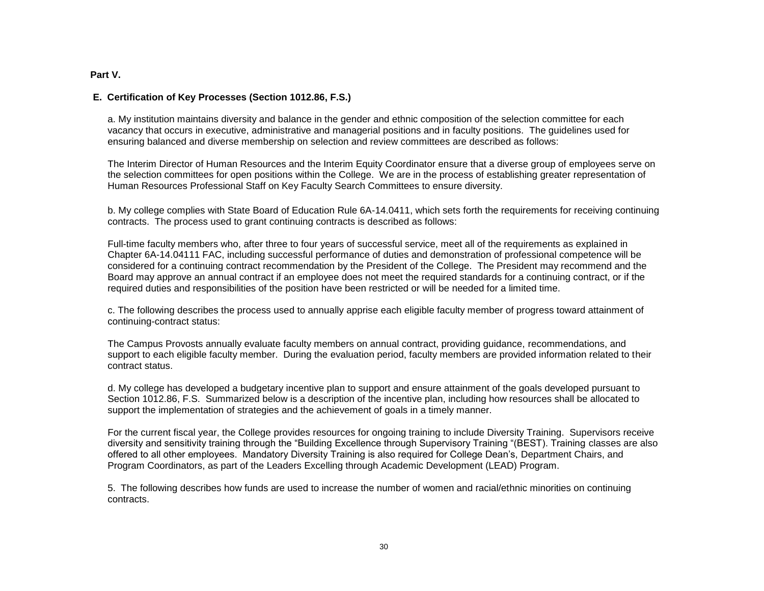#### **Part V.**

#### **E. Certification of Key Processes (Section 1012.86, F.S.)**

a. My institution maintains diversity and balance in the gender and ethnic composition of the selection committee for each vacancy that occurs in executive, administrative and managerial positions and in faculty positions. The guidelines used for ensuring balanced and diverse membership on selection and review committees are described as follows:

The Interim Director of Human Resources and the Interim Equity Coordinator ensure that a diverse group of employees serve on the selection committees for open positions within the College. We are in the process of establishing greater representation of Human Resources Professional Staff on Key Faculty Search Committees to ensure diversity.

b. My college complies with State Board of Education Rule 6A-14.0411, which sets forth the requirements for receiving continuing contracts. The process used to grant continuing contracts is described as follows:

Full-time faculty members who, after three to four years of successful service, meet all of the requirements as explained in Chapter 6A-14.04111 FAC, including successful performance of duties and demonstration of professional competence will be considered for a continuing contract recommendation by the President of the College. The President may recommend and the Board may approve an annual contract if an employee does not meet the required standards for a continuing contract, or if the required duties and responsibilities of the position have been restricted or will be needed for a limited time.

c. The following describes the process used to annually apprise each eligible faculty member of progress toward attainment of continuing-contract status:

The Campus Provosts annually evaluate faculty members on annual contract, providing guidance, recommendations, and support to each eligible faculty member. During the evaluation period, faculty members are provided information related to their contract status.

d. My college has developed a budgetary incentive plan to support and ensure attainment of the goals developed pursuant to Section 1012.86, F.S. Summarized below is a description of the incentive plan, including how resources shall be allocated to support the implementation of strategies and the achievement of goals in a timely manner.

For the current fiscal year, the College provides resources for ongoing training to include Diversity Training. Supervisors receive diversity and sensitivity training through the "Building Excellence through Supervisory Training "(BEST). Training classes are also offered to all other employees. Mandatory Diversity Training is also required for College Dean's, Department Chairs, and Program Coordinators, as part of the Leaders Excelling through Academic Development (LEAD) Program.

5. The following describes how funds are used to increase the number of women and racial/ethnic minorities on continuing contracts.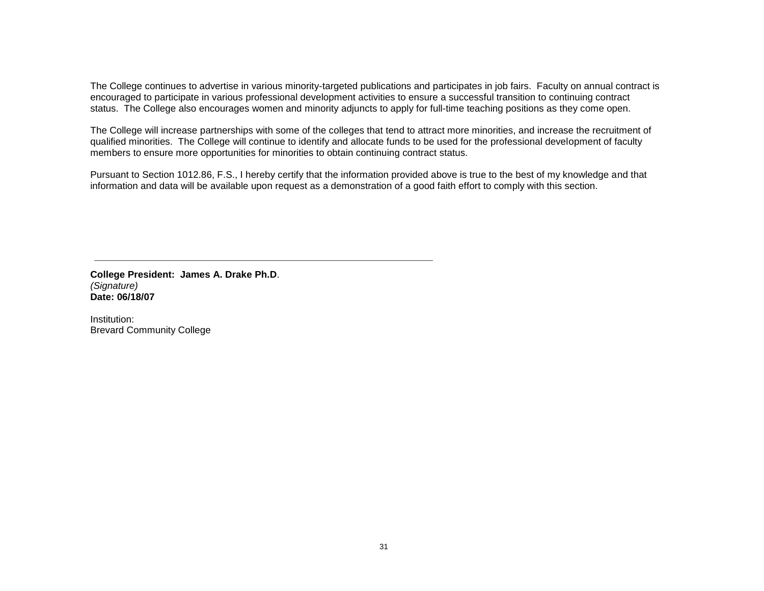The College continues to advertise in various minority-targeted publications and participates in job fairs. Faculty on annual contract is encouraged to participate in various professional development activities to ensure a successful transition to continuing contract status. The College also encourages women and minority adjuncts to apply for full-time teaching positions as they come open.

The College will increase partnerships with some of the colleges that tend to attract more minorities, and increase the recruitment of qualified minorities. The College will continue to identify and allocate funds to be used for the professional development of faculty members to ensure more opportunities for minorities to obtain continuing contract status.

Pursuant to Section 1012.86, F.S., I hereby certify that the information provided above is true to the best of my knowledge and that information and data will be available upon request as a demonstration of a good faith effort to comply with this section.

**College President: James A. Drake Ph.D**. *(Signature)* **Date: 06/18/07**

Institution: Brevard Community College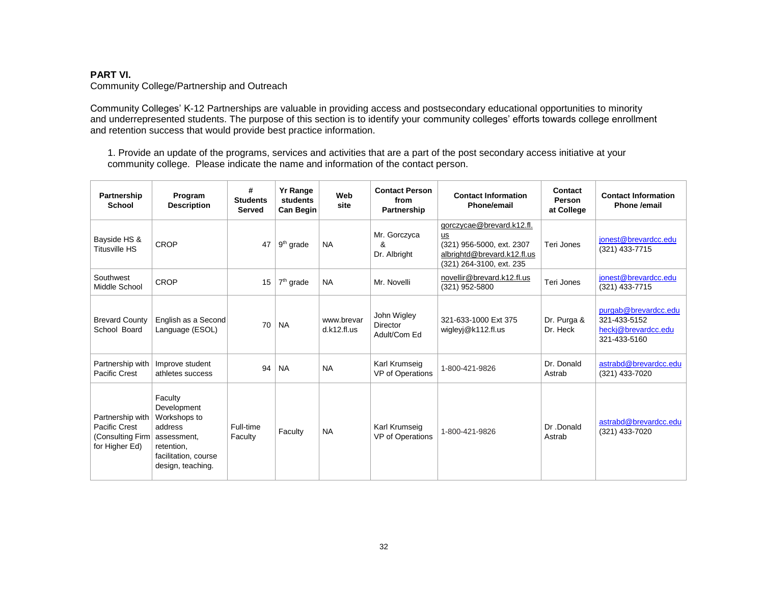## **PART VI.**

Community College/Partnership and Outreach

Community Colleges' K-12 Partnerships are valuable in providing access and postsecondary educational opportunities to minority and underrepresented students. The purpose of this section is to identify your community colleges' efforts towards college enrollment and retention success that would provide best practice information.

1. Provide an update of the programs, services and activities that are a part of the post secondary access initiative at your community college. Please indicate the name and information of the contact person.

| Partnership<br><b>School</b>                                             | Program<br><b>Description</b>                                                                                               | #<br><b>Students</b><br><b>Served</b> | <b>Yr Range</b><br>students<br>Can Begin | Web<br>site               | <b>Contact Person</b><br>from<br>Partnership   | <b>Contact Information</b><br>Phone/email                                                                               | Contact<br>Person<br>at College | <b>Contact Information</b><br>Phone /email                                  |
|--------------------------------------------------------------------------|-----------------------------------------------------------------------------------------------------------------------------|---------------------------------------|------------------------------------------|---------------------------|------------------------------------------------|-------------------------------------------------------------------------------------------------------------------------|---------------------------------|-----------------------------------------------------------------------------|
| Bayside HS &<br><b>Titusville HS</b>                                     | CROP                                                                                                                        | 47                                    | $9th$ grade                              | <b>NA</b>                 | Mr. Gorczyca<br>&<br>Dr. Albright              | gorczycae@brevard.k12.fl.<br>us<br>(321) 956-5000, ext. 2307<br>albrightd@brevard.k12.fl.us<br>(321) 264-3100, ext. 235 | Teri Jones                      | jonest@brevardcc.edu<br>(321) 433-7715                                      |
| Southwest<br>Middle School                                               | <b>CROP</b>                                                                                                                 | 15                                    | $7th$ grade                              | <b>NA</b>                 | Mr. Novelli                                    | novellir@brevard.k12.fl.us<br>(321) 952-5800                                                                            | Teri Jones                      | jonest@brevardcc.edu<br>(321) 433-7715                                      |
| <b>Brevard County</b><br>School Board                                    | English as a Second<br>Language (ESOL)                                                                                      | 70                                    | <b>NA</b>                                | www.brevar<br>d.k12.fl.us | John Wigley<br><b>Director</b><br>Adult/Com Ed | 321-633-1000 Ext 375<br>wigleyj@k112.fl.us                                                                              | Dr. Purga &<br>Dr. Heck         | purgab@brevardcc.edu<br>321-433-5152<br>heckj@brevardcc.edu<br>321-433-5160 |
| Partnership with<br>Pacific Crest                                        | Improve student<br>athletes success                                                                                         | 94                                    | <b>NA</b>                                | <b>NA</b>                 | Karl Krumseig<br>VP of Operations              | 1-800-421-9826                                                                                                          | Dr. Donald<br>Astrab            | astrabd@brevardcc.edu<br>(321) 433-7020                                     |
| Partnership with<br>Pacific Crest<br>(Consulting Firm)<br>for Higher Ed) | Faculty<br>Development<br>Workshops to<br>address<br>assessment,<br>retention.<br>facilitation, course<br>design, teaching. | Full-time<br>Faculty                  | Faculty                                  | <b>NA</b>                 | Karl Krumseig<br>VP of Operations              | 1-800-421-9826                                                                                                          | Dr.Donald<br>Astrab             | astrabd@brevardcc.edu<br>(321) 433-7020                                     |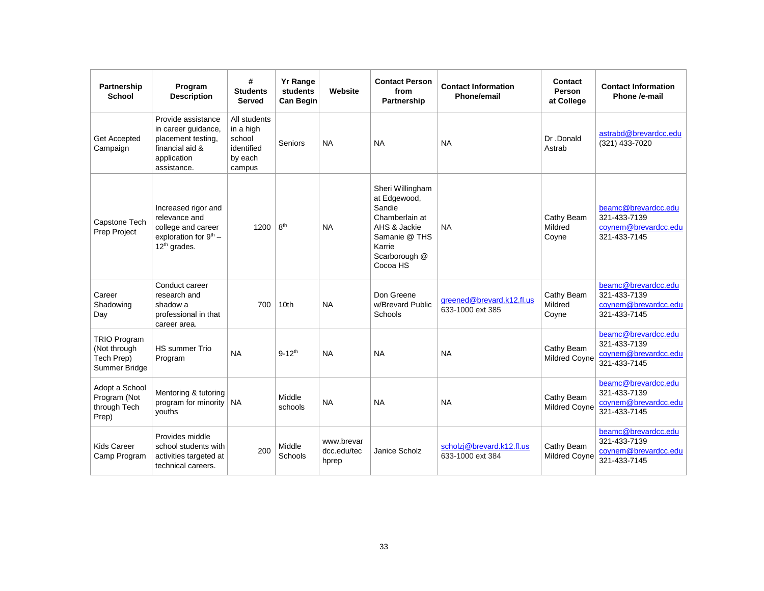| Partnership<br><b>School</b>                                       | Program<br><b>Description</b>                                                                                     | #<br><b>Students</b><br><b>Served</b>                                  | <b>Yr Range</b><br>students<br><b>Can Begin</b> | Website                            | <b>Contact Person</b><br>from<br>Partnership                                                                                         | <b>Contact Information</b><br><b>Phone/email</b> | Contact<br><b>Person</b><br>at College | <b>Contact Information</b><br>Phone /e-mail                                 |
|--------------------------------------------------------------------|-------------------------------------------------------------------------------------------------------------------|------------------------------------------------------------------------|-------------------------------------------------|------------------------------------|--------------------------------------------------------------------------------------------------------------------------------------|--------------------------------------------------|----------------------------------------|-----------------------------------------------------------------------------|
| <b>Get Accepted</b><br>Campaign                                    | Provide assistance<br>in career guidance,<br>placement testing,<br>financial aid &<br>application<br>assistance.  | All students<br>in a high<br>school<br>identified<br>by each<br>campus | Seniors                                         | <b>NA</b>                          | <b>NA</b>                                                                                                                            | <b>NA</b>                                        | Dr.Donald<br>Astrab                    | astrabd@brevardcc.edu<br>(321) 433-7020                                     |
| Capstone Tech<br>Prep Project                                      | Increased rigor and<br>relevance and<br>college and career<br>exploration for $9th$ –<br>12 <sup>th</sup> grades. | 1200                                                                   | 8 <sup>th</sup>                                 | <b>NA</b>                          | Sheri Willingham<br>at Edgewood,<br>Sandie<br>Chamberlain at<br>AHS & Jackie<br>Samanie @ THS<br>Karrie<br>Scarborough @<br>Cocoa HS | <b>NA</b>                                        | Cathy Beam<br>Mildred<br>Coyne         | beamc@brevardcc.edu<br>321-433-7139<br>coynem@brevardcc.edu<br>321-433-7145 |
| Career<br>Shadowing<br>Day                                         | Conduct career<br>research and<br>shadow a<br>professional in that<br>career area.                                | 700                                                                    | 10th                                            | <b>NA</b>                          | Don Greene<br>w/Brevard Public<br>Schools                                                                                            | greened@brevard.k12.fl.us<br>633-1000 ext 385    | Cathy Beam<br>Mildred<br>Coyne         | beamc@brevardcc.edu<br>321-433-7139<br>coynem@brevardcc.edu<br>321-433-7145 |
| <b>TRIO Program</b><br>(Not through<br>Tech Prep)<br>Summer Bridge | <b>HS</b> summer Trio<br>Program                                                                                  | <b>NA</b>                                                              | $9 - 12$ <sup>th</sup>                          | <b>NA</b>                          | <b>NA</b>                                                                                                                            | <b>NA</b>                                        | Cathy Beam<br>Mildred Coyne            | beamc@brevardcc.edu<br>321-433-7139<br>coynem@brevardcc.edu<br>321-433-7145 |
| Adopt a School<br>Program (Not<br>through Tech<br>Prep)            | Mentoring & tutoring<br>program for minority<br>youths                                                            | <b>NA</b>                                                              | Middle<br>schools                               | <b>NA</b>                          | <b>NA</b>                                                                                                                            | <b>NA</b>                                        | Cathy Beam<br><b>Mildred Coyne</b>     | beamc@brevardcc.edu<br>321-433-7139<br>coynem@brevardcc.edu<br>321-433-7145 |
| <b>Kids Career</b><br>Camp Program                                 | Provides middle<br>school students with<br>activities targeted at<br>technical careers.                           | 200                                                                    | Middle<br>Schools                               | www.brevar<br>dcc.edu/tec<br>hprep | Janice Scholz                                                                                                                        | scholzj@brevard.k12.fl.us<br>633-1000 ext 384    | Cathy Beam<br><b>Mildred Coyne</b>     | beamc@brevardcc.edu<br>321-433-7139<br>coynem@brevardcc.edu<br>321-433-7145 |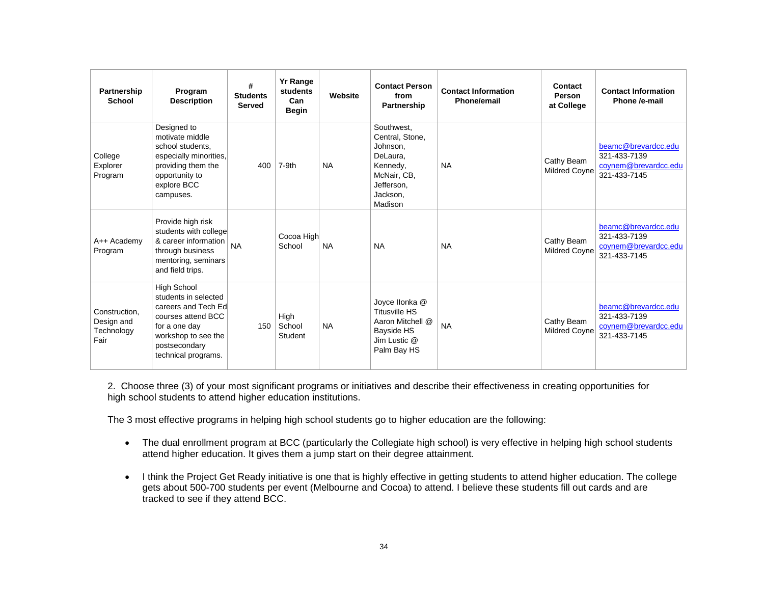| Partnership<br><b>School</b>                      | Program<br><b>Description</b>                                                                                                                                    | #<br><b>Students</b><br><b>Served</b> | <b>Yr Range</b><br>students<br>Can<br><b>Begin</b> | Website   | <b>Contact Person</b><br>from<br><b>Partnership</b>                                                                   | <b>Contact Information</b><br>Phone/email | Contact<br><b>Person</b><br>at College | <b>Contact Information</b><br>Phone /e-mail                                 |
|---------------------------------------------------|------------------------------------------------------------------------------------------------------------------------------------------------------------------|---------------------------------------|----------------------------------------------------|-----------|-----------------------------------------------------------------------------------------------------------------------|-------------------------------------------|----------------------------------------|-----------------------------------------------------------------------------|
| College<br>Explorer<br>Program                    | Designed to<br>motivate middle<br>school students.<br>especially minorities,<br>providing them the<br>opportunity to<br>explore BCC<br>campuses.                 | 400                                   | 7-9th                                              | <b>NA</b> | Southwest.<br>Central. Stone.<br>Johnson,<br>DeLaura.<br>Kennedy,<br>McNair, CB,<br>Jefferson.<br>Jackson.<br>Madison | <b>NA</b>                                 | Cathy Beam<br><b>Mildred Coyne</b>     | beamc@brevardcc.edu<br>321-433-7139<br>coynem@brevardcc.edu<br>321-433-7145 |
| A++ Academv<br>Program                            | Provide high risk<br>students with college<br>& career information<br>through business<br>mentoring, seminars<br>and field trips.                                | <b>NA</b>                             | Cocoa High<br>School                               | <b>NA</b> | <b>NA</b>                                                                                                             | <b>NA</b>                                 | Cathy Beam<br><b>Mildred Coyne</b>     | beamc@brevardcc.edu<br>321-433-7139<br>coynem@brevardcc.edu<br>321-433-7145 |
| Construction.<br>Design and<br>Technology<br>Fair | High School<br>students in selected<br>careers and Tech Ed<br>courses attend BCC<br>for a one day<br>workshop to see the<br>postsecondary<br>technical programs. | 150                                   | High<br>School<br>Student                          | <b>NA</b> | Joyce Ilonka @<br><b>Titusville HS</b><br>Aaron Mitchell @<br>Bayside HS<br>Jim Lustic @<br>Palm Bay HS               | <b>NA</b>                                 | Cathy Beam<br><b>Mildred Coyne</b>     | beamc@brevardcc.edu<br>321-433-7139<br>coynem@brevardcc.edu<br>321-433-7145 |

2. Choose three (3) of your most significant programs or initiatives and describe their effectiveness in creating opportunities for high school students to attend higher education institutions.

The 3 most effective programs in helping high school students go to higher education are the following:

- The dual enrollment program at BCC (particularly the Collegiate high school) is very effective in helping high school students attend higher education. It gives them a jump start on their degree attainment.
- I think the Project Get Ready initiative is one that is highly effective in getting students to attend higher education. The college gets about 500-700 students per event (Melbourne and Cocoa) to attend. I believe these students fill out cards and are tracked to see if they attend BCC.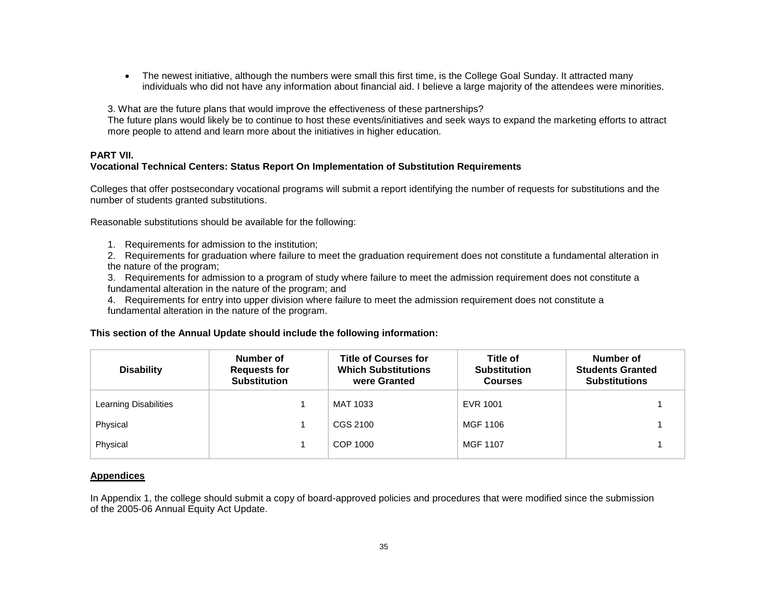The newest initiative, although the numbers were small this first time, is the College Goal Sunday. It attracted many individuals who did not have any information about financial aid. I believe a large majority of the attendees were minorities.

3. What are the future plans that would improve the effectiveness of these partnerships?

The future plans would likely be to continue to host these events/initiatives and seek ways to expand the marketing efforts to attract more people to attend and learn more about the initiatives in higher education.

# **PART VII.**

## **Vocational Technical Centers: Status Report On Implementation of Substitution Requirements**

Colleges that offer postsecondary vocational programs will submit a report identifying the number of requests for substitutions and the number of students granted substitutions.

Reasonable substitutions should be available for the following:

- 1. Requirements for admission to the institution;
- 2. Requirements for graduation where failure to meet the graduation requirement does not constitute a fundamental alteration in the nature of the program;
- 3. Requirements for admission to a program of study where failure to meet the admission requirement does not constitute a fundamental alteration in the nature of the program; and
- 4. Requirements for entry into upper division where failure to meet the admission requirement does not constitute a fundamental alteration in the nature of the program.

## **This section of the Annual Update should include the following information:**

| <b>Disability</b>     | Number of<br><b>Requests for</b><br><b>Substitution</b> | <b>Title of Courses for</b><br><b>Which Substitutions</b><br>were Granted | Title of<br><b>Substitution</b><br><b>Courses</b> | Number of<br><b>Students Granted</b><br><b>Substitutions</b> |
|-----------------------|---------------------------------------------------------|---------------------------------------------------------------------------|---------------------------------------------------|--------------------------------------------------------------|
| Learning Disabilities |                                                         | MAT 1033                                                                  | EVR 1001                                          |                                                              |
| Physical              |                                                         | CGS 2100                                                                  | MGF 1106                                          |                                                              |
| Physical              |                                                         | COP 1000                                                                  | MGF 1107                                          |                                                              |

## **Appendices**

In Appendix 1, the college should submit a copy of board-approved policies and procedures that were modified since the submission of the 2005-06 Annual Equity Act Update.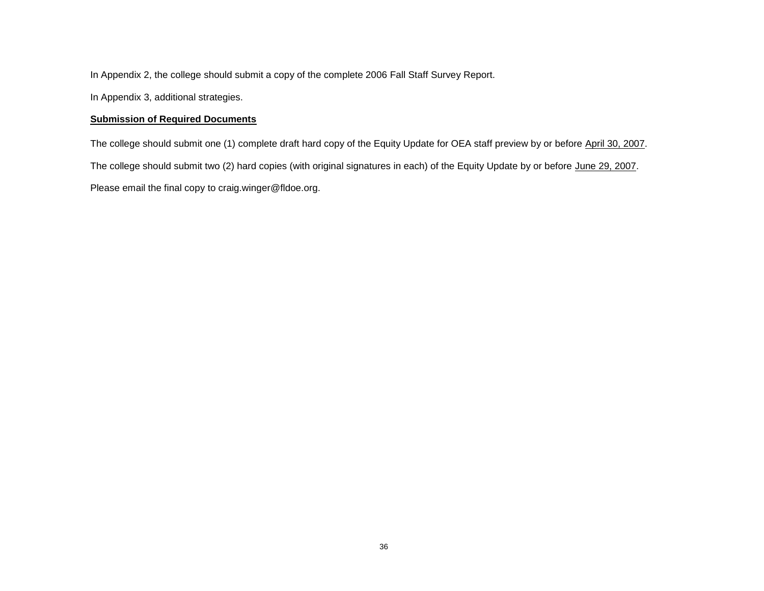In Appendix 2, the college should submit a copy of the complete 2006 Fall Staff Survey Report.

In Appendix 3, additional strategies.

## **Submission of Required Documents**

The college should submit one (1) complete draft hard copy of the Equity Update for OEA staff preview by or before April 30, 2007. The college should submit two (2) hard copies (with original signatures in each) of the Equity Update by or before June 29, 2007. Please email the final copy to craig.winger@fldoe.org.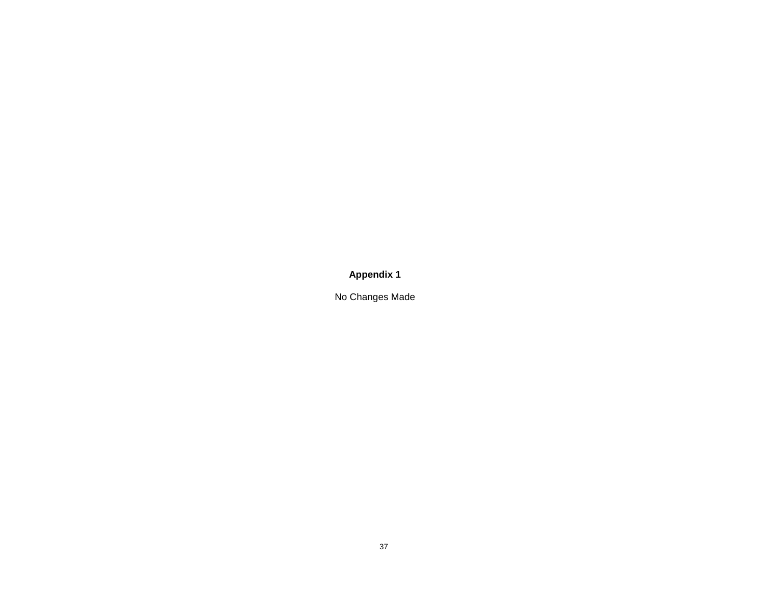**Appendix 1**

No Changes Made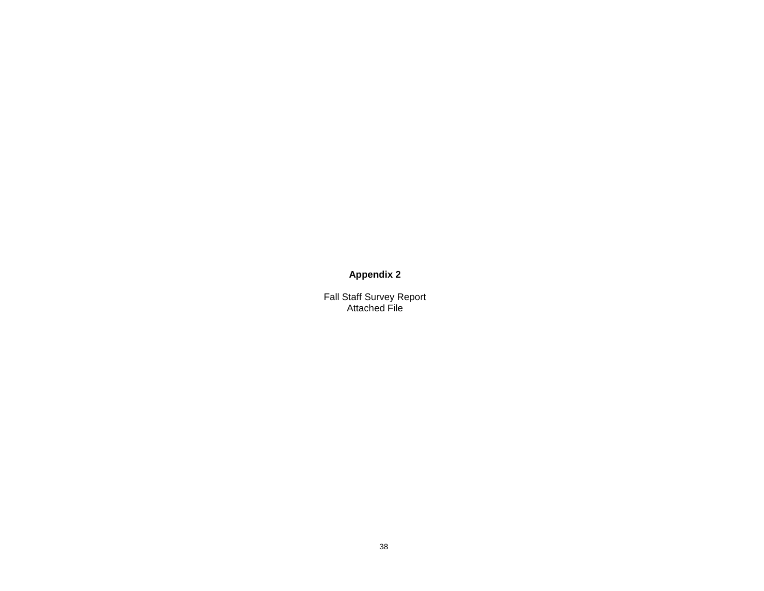# **Appendix 2**

Fall Staff Survey Report Attached File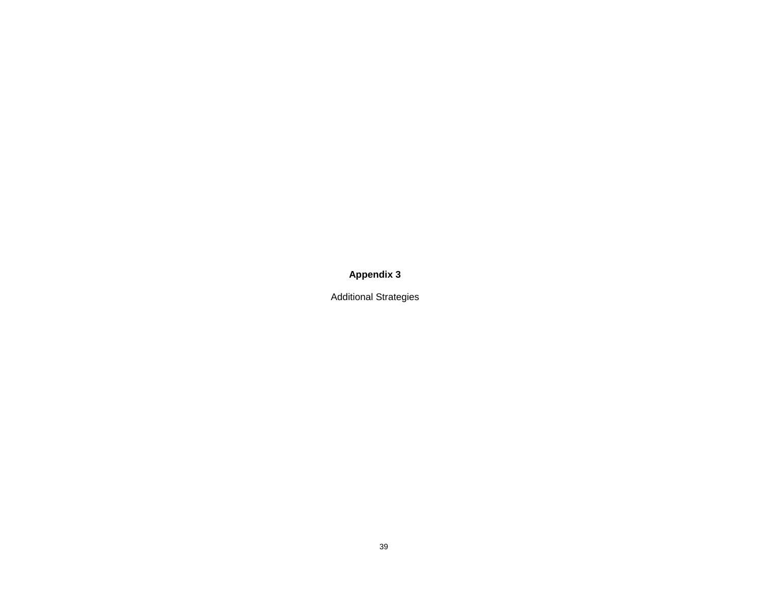**Appendix 3**

Additional Strategies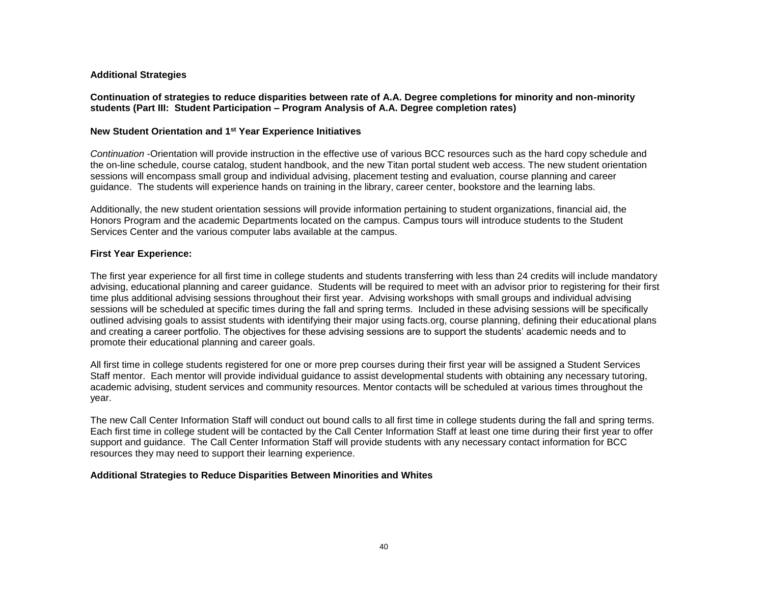#### **Additional Strategies**

**Continuation of strategies to reduce disparities between rate of A.A. Degree completions for minority and non-minority students (Part III: Student Participation – Program Analysis of A.A. Degree completion rates)**

#### **New Student Orientation and 1st Year Experience Initiatives**

*Continuation* -Orientation will provide instruction in the effective use of various BCC resources such as the hard copy schedule and the on-line schedule, course catalog, student handbook, and the new Titan portal student web access. The new student orientation sessions will encompass small group and individual advising, placement testing and evaluation, course planning and career guidance. The students will experience hands on training in the library, career center, bookstore and the learning labs.

Additionally, the new student orientation sessions will provide information pertaining to student organizations, financial aid, the Honors Program and the academic Departments located on the campus. Campus tours will introduce students to the Student Services Center and the various computer labs available at the campus.

#### **First Year Experience:**

The first year experience for all first time in college students and students transferring with less than 24 credits will include mandatory advising, educational planning and career guidance. Students will be required to meet with an advisor prior to registering for their first time plus additional advising sessions throughout their first year. Advising workshops with small groups and individual advising sessions will be scheduled at specific times during the fall and spring terms. Included in these advising sessions will be specifically outlined advising goals to assist students with identifying their major using facts.org, course planning, defining their educational plans and creating a career portfolio. The objectives for these advising sessions are to support the students' academic needs and to promote their educational planning and career goals.

All first time in college students registered for one or more prep courses during their first year will be assigned a Student Services Staff mentor. Each mentor will provide individual guidance to assist developmental students with obtaining any necessary tutoring, academic advising, student services and community resources. Mentor contacts will be scheduled at various times throughout the year.

The new Call Center Information Staff will conduct out bound calls to all first time in college students during the fall and spring terms. Each first time in college student will be contacted by the Call Center Information Staff at least one time during their first year to offer support and guidance. The Call Center Information Staff will provide students with any necessary contact information for BCC resources they may need to support their learning experience.

#### **Additional Strategies to Reduce Disparities Between Minorities and Whites**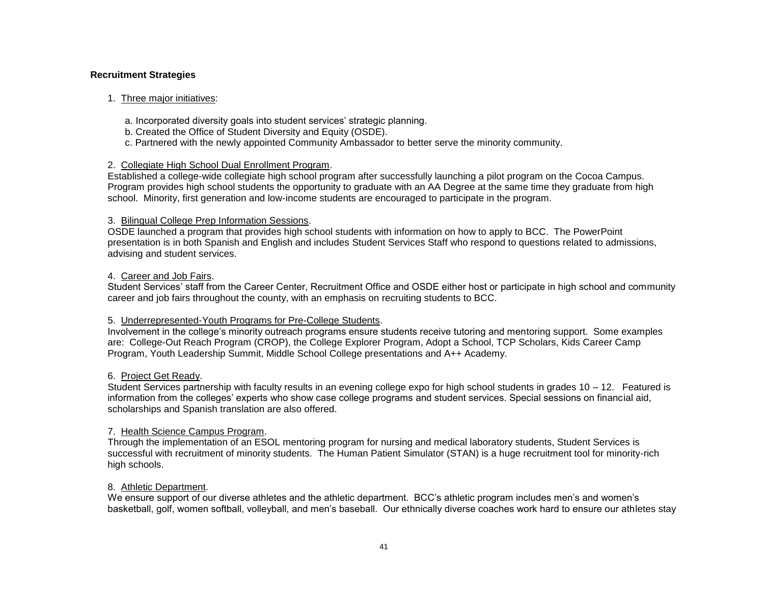#### **Recruitment Strategies**

#### 1. Three major initiatives:

- a. Incorporated diversity goals into student services' strategic planning.
- b. Created the Office of Student Diversity and Equity (OSDE).
- c. Partnered with the newly appointed Community Ambassador to better serve the minority community.

#### 2. Collegiate High School Dual Enrollment Program.

Established a college-wide collegiate high school program after successfully launching a pilot program on the Cocoa Campus. Program provides high school students the opportunity to graduate with an AA Degree at the same time they graduate from high school. Minority, first generation and low-income students are encouraged to participate in the program.

#### 3. Bilingual College Prep Information Sessions.

OSDE launched a program that provides high school students with information on how to apply to BCC. The PowerPoint presentation is in both Spanish and English and includes Student Services Staff who respond to questions related to admissions, advising and student services.

#### 4. Career and Job Fairs.

Student Services' staff from the Career Center, Recruitment Office and OSDE either host or participate in high school and community career and job fairs throughout the county, with an emphasis on recruiting students to BCC.

## 5. Underrepresented-Youth Programs for Pre-College Students.

Involvement in the college's minority outreach programs ensure students receive tutoring and mentoring support. Some examples are: College-Out Reach Program (CROP), the College Explorer Program, Adopt a School, TCP Scholars, Kids Career Camp Program, Youth Leadership Summit, Middle School College presentations and A++ Academy.

## 6. Project Get Ready.

Student Services partnership with faculty results in an evening college expo for high school students in grades 10 – 12. Featured is information from the colleges' experts who show case college programs and student services. Special sessions on financial aid, scholarships and Spanish translation are also offered.

#### 7. Health Science Campus Program.

Through the implementation of an ESOL mentoring program for nursing and medical laboratory students, Student Services is successful with recruitment of minority students. The Human Patient Simulator (STAN) is a huge recruitment tool for minority-rich high schools.

## 8. Athletic Department.

We ensure support of our diverse athletes and the athletic department. BCC's athletic program includes men's and women's basketball, golf, women softball, volleyball, and men's baseball. Our ethnically diverse coaches work hard to ensure our athletes stay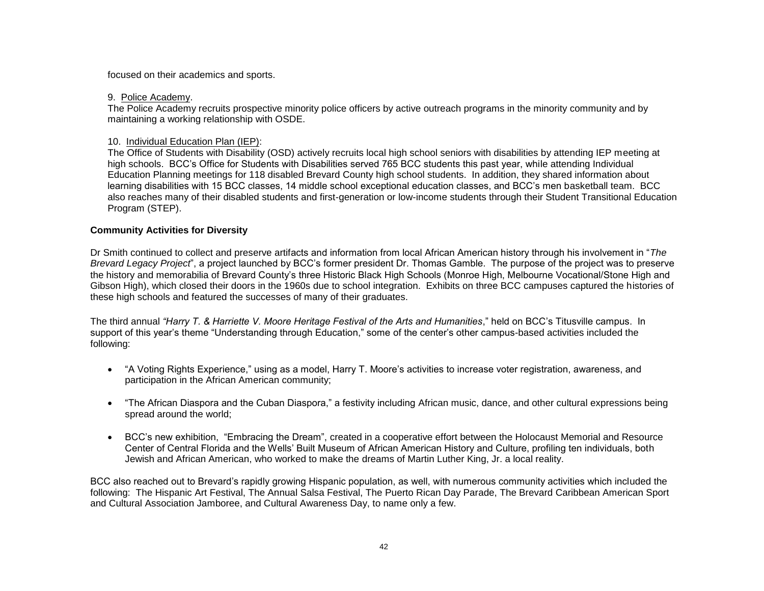focused on their academics and sports.

## 9. Police Academy.

The Police Academy recruits prospective minority police officers by active outreach programs in the minority community and by maintaining a working relationship with OSDE.

## 10. Individual Education Plan (IEP):

The Office of Students with Disability (OSD) actively recruits local high school seniors with disabilities by attending IEP meeting at high schools. BCC's Office for Students with Disabilities served 765 BCC students this past year, while attending Individual Education Planning meetings for 118 disabled Brevard County high school students. In addition, they shared information about learning disabilities with 15 BCC classes, 14 middle school exceptional education classes, and BCC's men basketball team. BCC also reaches many of their disabled students and first-generation or low-income students through their Student Transitional Education Program (STEP).

## **Community Activities for Diversity**

Dr Smith continued to collect and preserve artifacts and information from local African American history through his involvement in "*The Brevard Legacy Project*", a project launched by BCC's former president Dr. Thomas Gamble. The purpose of the project was to preserve the history and memorabilia of Brevard County's three Historic Black High Schools (Monroe High, Melbourne Vocational/Stone High and Gibson High), which closed their doors in the 1960s due to school integration. Exhibits on three BCC campuses captured the histories of these high schools and featured the successes of many of their graduates.

The third annual *"Harry T. & Harriette V. Moore Heritage Festival of the Arts and Humanities*," held on BCC's Titusville campus. In support of this year's theme "Understanding through Education," some of the center's other campus-based activities included the following:

- "A Voting Rights Experience," using as a model, Harry T. Moore's activities to increase voter registration, awareness, and participation in the African American community;
- "The African Diaspora and the Cuban Diaspora," a festivity including African music, dance, and other cultural expressions being spread around the world;
- BCC's new exhibition, "Embracing the Dream", created in a cooperative effort between the Holocaust Memorial and Resource Center of Central Florida and the Wells' Built Museum of African American History and Culture, profiling ten individuals, both Jewish and African American, who worked to make the dreams of Martin Luther King, Jr. a local reality.

BCC also reached out to Brevard's rapidly growing Hispanic population, as well, with numerous community activities which included the following: The Hispanic Art Festival, The Annual Salsa Festival, The Puerto Rican Day Parade, The Brevard Caribbean American Sport and Cultural Association Jamboree, and Cultural Awareness Day, to name only a few.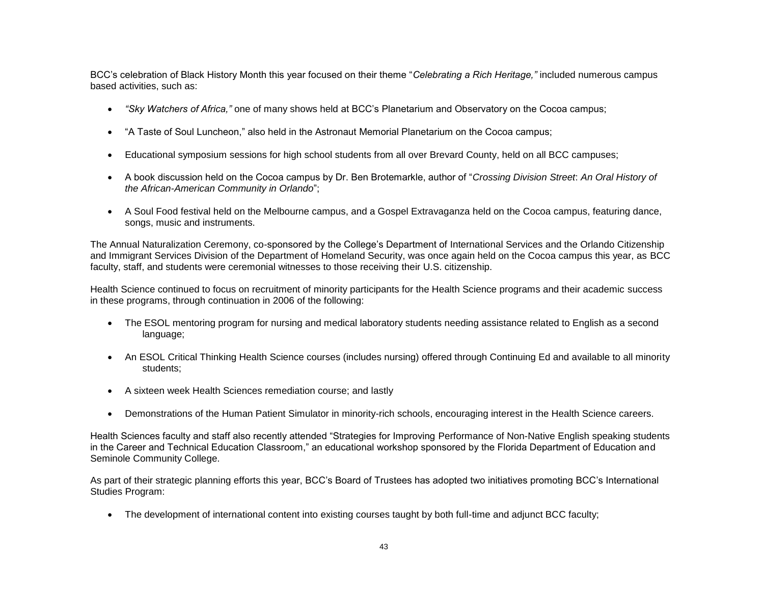BCC's celebration of Black History Month this year focused on their theme "*Celebrating a Rich Heritage,"* included numerous campus based activities, such as:

- *"Sky Watchers of Africa,"* one of many shows held at BCC's Planetarium and Observatory on the Cocoa campus;
- "A Taste of Soul Luncheon," also held in the Astronaut Memorial Planetarium on the Cocoa campus;
- Educational symposium sessions for high school students from all over Brevard County, held on all BCC campuses;
- A book discussion held on the Cocoa campus by Dr. Ben Brotemarkle, author of "*Crossing Division Street*: *An Oral History of the African-American Community in Orlando*";
- A Soul Food festival held on the Melbourne campus, and a Gospel Extravaganza held on the Cocoa campus, featuring dance, songs, music and instruments.

The Annual Naturalization Ceremony, co-sponsored by the College's Department of International Services and the Orlando Citizenship and Immigrant Services Division of the Department of Homeland Security, was once again held on the Cocoa campus this year, as BCC faculty, staff, and students were ceremonial witnesses to those receiving their U.S. citizenship.

Health Science continued to focus on recruitment of minority participants for the Health Science programs and their academic success in these programs, through continuation in 2006 of the following:

- The ESOL mentoring program for nursing and medical laboratory students needing assistance related to English as a second language;
- An ESOL Critical Thinking Health Science courses (includes nursing) offered through Continuing Ed and available to all minority students;
- A sixteen week Health Sciences remediation course; and lastly
- Demonstrations of the Human Patient Simulator in minority-rich schools, encouraging interest in the Health Science careers.

Health Sciences faculty and staff also recently attended "Strategies for Improving Performance of Non-Native English speaking students in the Career and Technical Education Classroom," an educational workshop sponsored by the Florida Department of Education and Seminole Community College.

As part of their strategic planning efforts this year, BCC's Board of Trustees has adopted two initiatives promoting BCC's International Studies Program:

• The development of international content into existing courses taught by both full-time and adjunct BCC faculty;